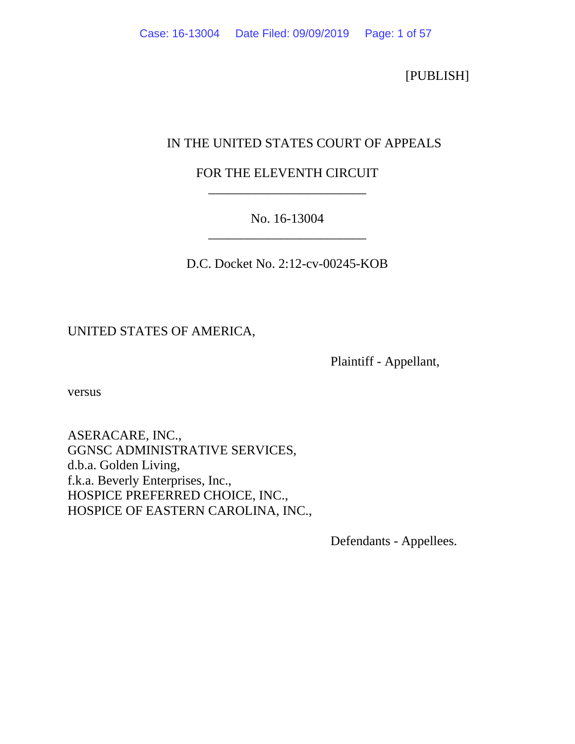[PUBLISH]

# IN THE UNITED STATES COURT OF APPEALS

# FOR THE ELEVENTH CIRCUIT \_\_\_\_\_\_\_\_\_\_\_\_\_\_\_\_\_\_\_\_\_\_\_\_

# No. 16-13004 \_\_\_\_\_\_\_\_\_\_\_\_\_\_\_\_\_\_\_\_\_\_\_\_

D.C. Docket No. 2:12-cv-00245-KOB

# UNITED STATES OF AMERICA,

Plaintiff - Appellant,

versus

ASERACARE, INC., GGNSC ADMINISTRATIVE SERVICES, d.b.a. Golden Living, f.k.a. Beverly Enterprises, Inc., HOSPICE PREFERRED CHOICE, INC., HOSPICE OF EASTERN CAROLINA, INC.,

Defendants - Appellees.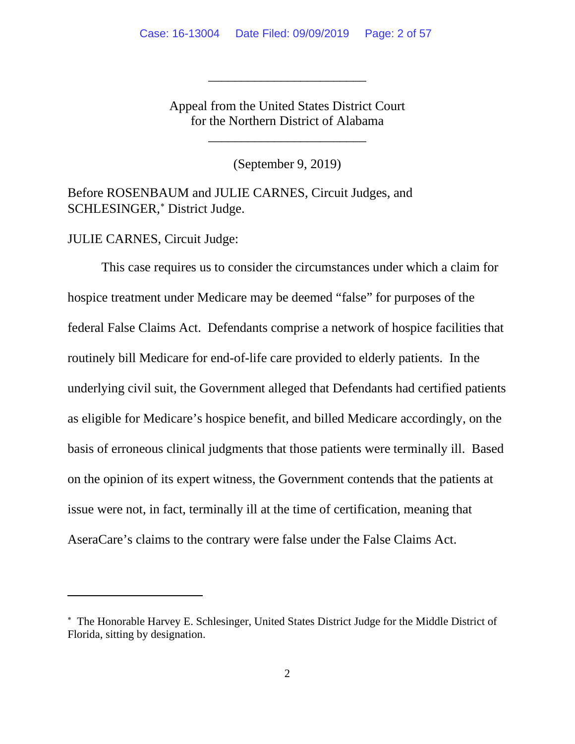Appeal from the United States District Court for the Northern District of Alabama

\_\_\_\_\_\_\_\_\_\_\_\_\_\_\_\_\_\_\_\_\_\_\_\_

\_\_\_\_\_\_\_\_\_\_\_\_\_\_\_\_\_\_\_\_\_\_\_\_

(September 9, 2019)

Before ROSENBAUM and JULIE CARNES, Circuit Judges, and SCHLESINGER,[∗](#page-1-0) District Judge.

JULIE CARNES, Circuit Judge:

This case requires us to consider the circumstances under which a claim for hospice treatment under Medicare may be deemed "false" for purposes of the federal False Claims Act. Defendants comprise a network of hospice facilities that routinely bill Medicare for end-of-life care provided to elderly patients. In the underlying civil suit, the Government alleged that Defendants had certified patients as eligible for Medicare's hospice benefit, and billed Medicare accordingly, on the basis of erroneous clinical judgments that those patients were terminally ill. Based on the opinion of its expert witness, the Government contends that the patients at issue were not, in fact, terminally ill at the time of certification, meaning that AseraCare's claims to the contrary were false under the False Claims Act.

<span id="page-1-0"></span><sup>∗</sup> The Honorable Harvey E. Schlesinger, United States District Judge for the Middle District of Florida, sitting by designation.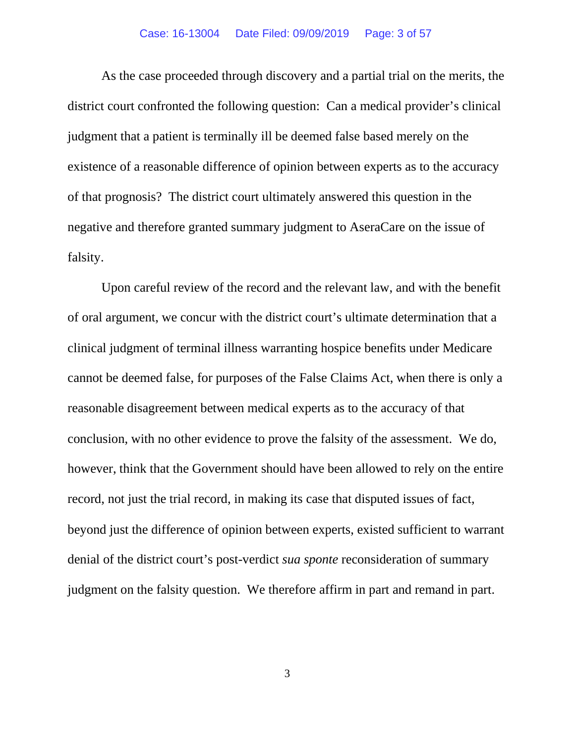#### Case: 16-13004 Date Filed: 09/09/2019 Page: 3 of 57

As the case proceeded through discovery and a partial trial on the merits, the district court confronted the following question: Can a medical provider's clinical judgment that a patient is terminally ill be deemed false based merely on the existence of a reasonable difference of opinion between experts as to the accuracy of that prognosis? The district court ultimately answered this question in the negative and therefore granted summary judgment to AseraCare on the issue of falsity.

Upon careful review of the record and the relevant law, and with the benefit of oral argument, we concur with the district court's ultimate determination that a clinical judgment of terminal illness warranting hospice benefits under Medicare cannot be deemed false, for purposes of the False Claims Act, when there is only a reasonable disagreement between medical experts as to the accuracy of that conclusion, with no other evidence to prove the falsity of the assessment. We do, however, think that the Government should have been allowed to rely on the entire record, not just the trial record, in making its case that disputed issues of fact, beyond just the difference of opinion between experts, existed sufficient to warrant denial of the district court's post-verdict *sua sponte* reconsideration of summary judgment on the falsity question. We therefore affirm in part and remand in part.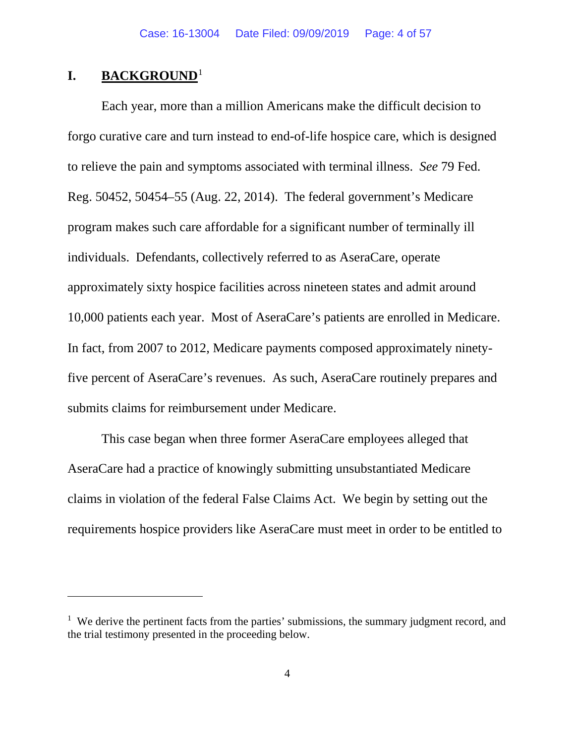## **I. BACKGROUND**[1](#page-3-0)

Each year, more than a million Americans make the difficult decision to forgo curative care and turn instead to end-of-life hospice care, which is designed to relieve the pain and symptoms associated with terminal illness. *See* 79 Fed. Reg. 50452, 50454–55 (Aug. 22, 2014). The federal government's Medicare program makes such care affordable for a significant number of terminally ill individuals. Defendants, collectively referred to as AseraCare, operate approximately sixty hospice facilities across nineteen states and admit around 10,000 patients each year. Most of AseraCare's patients are enrolled in Medicare. In fact, from 2007 to 2012, Medicare payments composed approximately ninetyfive percent of AseraCare's revenues. As such, AseraCare routinely prepares and submits claims for reimbursement under Medicare.

This case began when three former AseraCare employees alleged that AseraCare had a practice of knowingly submitting unsubstantiated Medicare claims in violation of the federal False Claims Act. We begin by setting out the requirements hospice providers like AseraCare must meet in order to be entitled to

<span id="page-3-0"></span><sup>&</sup>lt;sup>1</sup> We derive the pertinent facts from the parties' submissions, the summary judgment record, and the trial testimony presented in the proceeding below.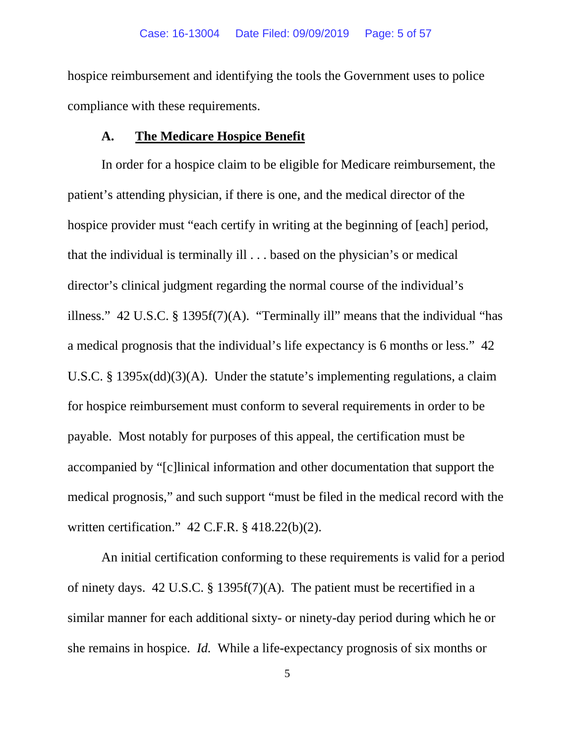hospice reimbursement and identifying the tools the Government uses to police compliance with these requirements.

### **A. The Medicare Hospice Benefit**

In order for a hospice claim to be eligible for Medicare reimbursement, the patient's attending physician, if there is one, and the medical director of the hospice provider must "each certify in writing at the beginning of [each] period, that the individual is terminally ill . . . based on the physician's or medical director's clinical judgment regarding the normal course of the individual's illness." 42 U.S.C. § 1395f(7)(A). "Terminally ill" means that the individual "has a medical prognosis that the individual's life expectancy is 6 months or less." 42 U.S.C. § 1395x(dd)(3)(A). Under the statute's implementing regulations, a claim for hospice reimbursement must conform to several requirements in order to be payable. Most notably for purposes of this appeal, the certification must be accompanied by "[c]linical information and other documentation that support the medical prognosis," and such support "must be filed in the medical record with the written certification." 42 C.F.R. § 418.22(b)(2).

An initial certification conforming to these requirements is valid for a period of ninety days. 42 U.S.C. § 1395f(7)(A). The patient must be recertified in a similar manner for each additional sixty- or ninety-day period during which he or she remains in hospice. *Id.* While a life-expectancy prognosis of six months or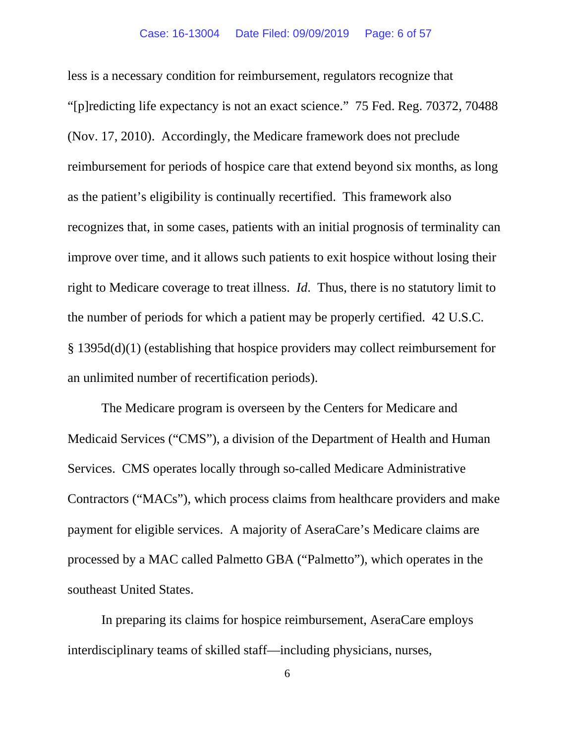less is a necessary condition for reimbursement, regulators recognize that "[p]redicting life expectancy is not an exact science." 75 Fed. Reg. 70372, 70488 (Nov. 17, 2010). Accordingly, the Medicare framework does not preclude reimbursement for periods of hospice care that extend beyond six months, as long as the patient's eligibility is continually recertified. This framework also recognizes that, in some cases, patients with an initial prognosis of terminality can improve over time, and it allows such patients to exit hospice without losing their right to Medicare coverage to treat illness. *Id*. Thus, there is no statutory limit to the number of periods for which a patient may be properly certified. 42 U.S.C. § 1395d(d)(1) (establishing that hospice providers may collect reimbursement for an unlimited number of recertification periods).

The Medicare program is overseen by the Centers for Medicare and Medicaid Services ("CMS"), a division of the Department of Health and Human Services. CMS operates locally through so-called Medicare Administrative Contractors ("MACs"), which process claims from healthcare providers and make payment for eligible services. A majority of AseraCare's Medicare claims are processed by a MAC called Palmetto GBA ("Palmetto"), which operates in the southeast United States.

In preparing its claims for hospice reimbursement, AseraCare employs interdisciplinary teams of skilled staff—including physicians, nurses,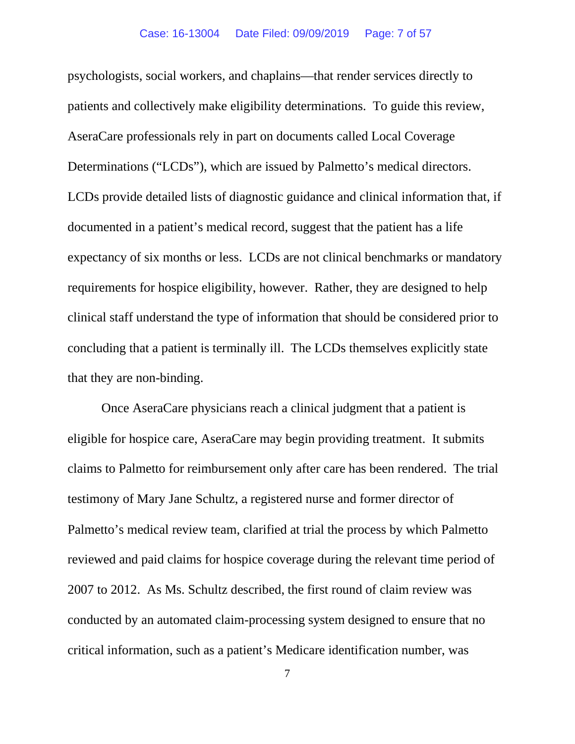psychologists, social workers, and chaplains—that render services directly to patients and collectively make eligibility determinations. To guide this review, AseraCare professionals rely in part on documents called Local Coverage Determinations ("LCDs"), which are issued by Palmetto's medical directors. LCDs provide detailed lists of diagnostic guidance and clinical information that, if documented in a patient's medical record, suggest that the patient has a life expectancy of six months or less. LCDs are not clinical benchmarks or mandatory requirements for hospice eligibility, however. Rather, they are designed to help clinical staff understand the type of information that should be considered prior to concluding that a patient is terminally ill. The LCDs themselves explicitly state that they are non-binding.

Once AseraCare physicians reach a clinical judgment that a patient is eligible for hospice care, AseraCare may begin providing treatment. It submits claims to Palmetto for reimbursement only after care has been rendered. The trial testimony of Mary Jane Schultz, a registered nurse and former director of Palmetto's medical review team, clarified at trial the process by which Palmetto reviewed and paid claims for hospice coverage during the relevant time period of 2007 to 2012. As Ms. Schultz described, the first round of claim review was conducted by an automated claim-processing system designed to ensure that no critical information, such as a patient's Medicare identification number, was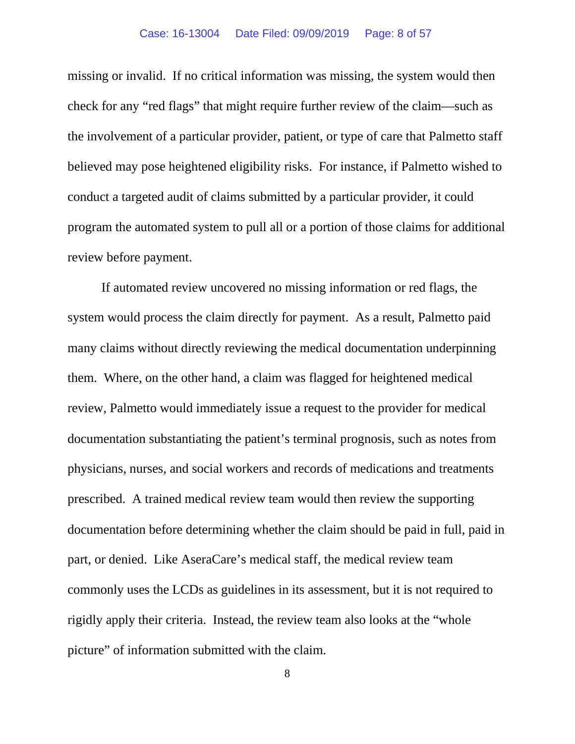missing or invalid. If no critical information was missing, the system would then check for any "red flags" that might require further review of the claim—such as the involvement of a particular provider, patient, or type of care that Palmetto staff believed may pose heightened eligibility risks. For instance, if Palmetto wished to conduct a targeted audit of claims submitted by a particular provider, it could program the automated system to pull all or a portion of those claims for additional review before payment.

If automated review uncovered no missing information or red flags, the system would process the claim directly for payment. As a result, Palmetto paid many claims without directly reviewing the medical documentation underpinning them. Where, on the other hand, a claim was flagged for heightened medical review, Palmetto would immediately issue a request to the provider for medical documentation substantiating the patient's terminal prognosis, such as notes from physicians, nurses, and social workers and records of medications and treatments prescribed. A trained medical review team would then review the supporting documentation before determining whether the claim should be paid in full, paid in part, or denied. Like AseraCare's medical staff, the medical review team commonly uses the LCDs as guidelines in its assessment, but it is not required to rigidly apply their criteria. Instead, the review team also looks at the "whole picture" of information submitted with the claim.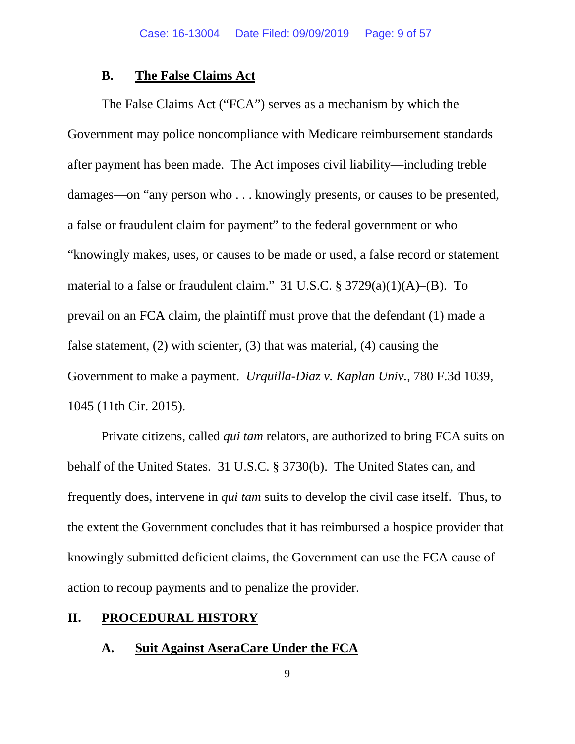## **B. The False Claims Act**

The False Claims Act ("FCA") serves as a mechanism by which the Government may police noncompliance with Medicare reimbursement standards after payment has been made. The Act imposes civil liability—including treble damages—on "any person who . . . knowingly presents, or causes to be presented, a false or fraudulent claim for payment" to the federal government or who "knowingly makes, uses, or causes to be made or used, a false record or statement material to a false or fraudulent claim." 31 U.S.C.  $\S 3729(a)(1)(A)$ –(B). To prevail on an FCA claim, the plaintiff must prove that the defendant (1) made a false statement, (2) with scienter, (3) that was material, (4) causing the Government to make a payment. *Urquilla-Diaz v. Kaplan Univ.*, 780 F.3d 1039, 1045 (11th Cir. 2015).

Private citizens, called *qui tam* relators, are authorized to bring FCA suits on behalf of the United States. 31 U.S.C. § 3730(b). The United States can, and frequently does, intervene in *qui tam* suits to develop the civil case itself. Thus, to the extent the Government concludes that it has reimbursed a hospice provider that knowingly submitted deficient claims, the Government can use the FCA cause of action to recoup payments and to penalize the provider.

#### **II. PROCEDURAL HISTORY**

# **A. Suit Against AseraCare Under the FCA**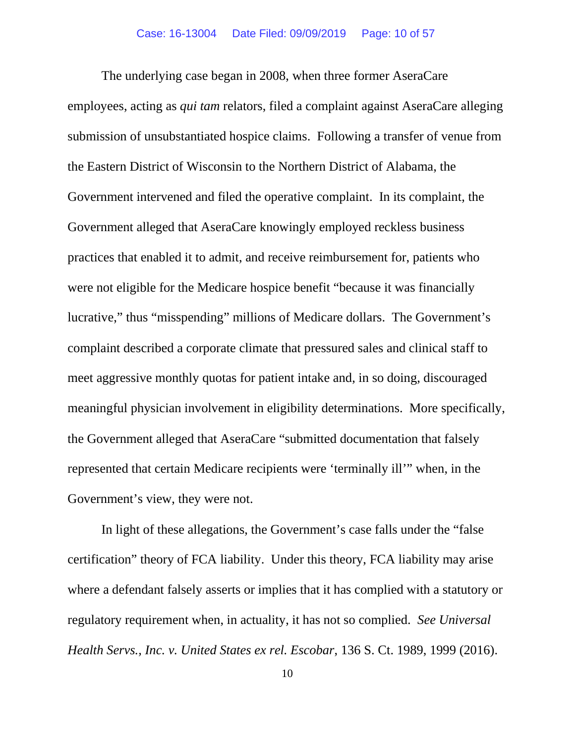The underlying case began in 2008, when three former AseraCare employees, acting as *qui tam* relators, filed a complaint against AseraCare alleging submission of unsubstantiated hospice claims. Following a transfer of venue from the Eastern District of Wisconsin to the Northern District of Alabama, the Government intervened and filed the operative complaint. In its complaint, the Government alleged that AseraCare knowingly employed reckless business practices that enabled it to admit, and receive reimbursement for, patients who were not eligible for the Medicare hospice benefit "because it was financially lucrative," thus "misspending" millions of Medicare dollars. The Government's complaint described a corporate climate that pressured sales and clinical staff to meet aggressive monthly quotas for patient intake and, in so doing, discouraged meaningful physician involvement in eligibility determinations. More specifically, the Government alleged that AseraCare "submitted documentation that falsely represented that certain Medicare recipients were 'terminally ill'" when, in the Government's view, they were not.

In light of these allegations, the Government's case falls under the "false certification" theory of FCA liability. Under this theory, FCA liability may arise where a defendant falsely asserts or implies that it has complied with a statutory or regulatory requirement when, in actuality, it has not so complied. *See Universal Health Servs., Inc. v. United States ex rel. Escobar*, 136 S. Ct. 1989, 1999 (2016).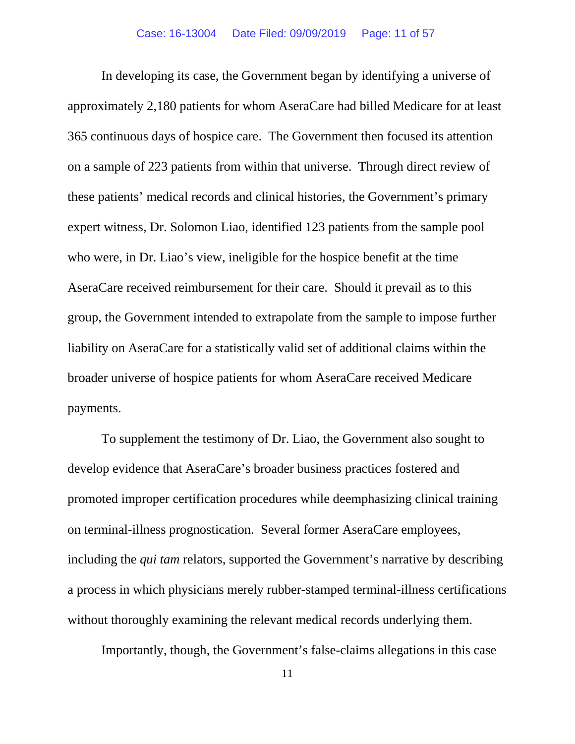In developing its case, the Government began by identifying a universe of approximately 2,180 patients for whom AseraCare had billed Medicare for at least 365 continuous days of hospice care. The Government then focused its attention on a sample of 223 patients from within that universe. Through direct review of these patients' medical records and clinical histories, the Government's primary expert witness, Dr. Solomon Liao, identified 123 patients from the sample pool who were, in Dr. Liao's view, ineligible for the hospice benefit at the time AseraCare received reimbursement for their care. Should it prevail as to this group, the Government intended to extrapolate from the sample to impose further liability on AseraCare for a statistically valid set of additional claims within the broader universe of hospice patients for whom AseraCare received Medicare payments.

To supplement the testimony of Dr. Liao, the Government also sought to develop evidence that AseraCare's broader business practices fostered and promoted improper certification procedures while deemphasizing clinical training on terminal-illness prognostication. Several former AseraCare employees, including the *qui tam* relators, supported the Government's narrative by describing a process in which physicians merely rubber-stamped terminal-illness certifications without thoroughly examining the relevant medical records underlying them.

Importantly, though, the Government's false-claims allegations in this case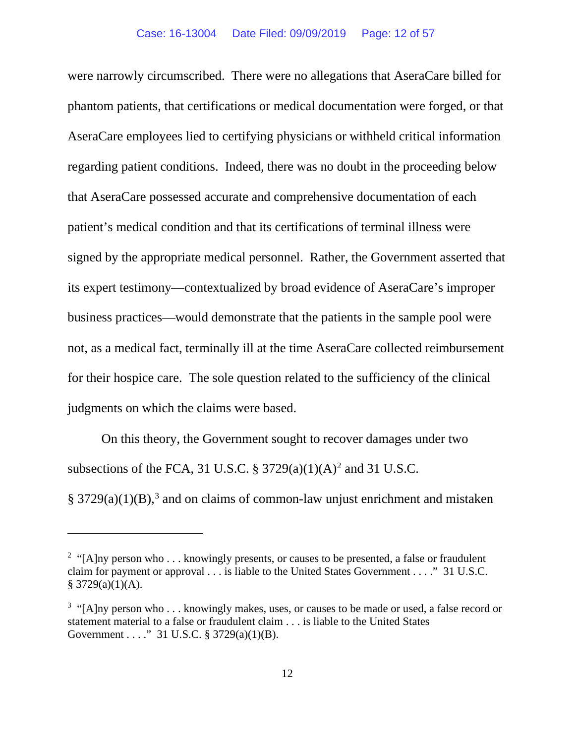were narrowly circumscribed. There were no allegations that AseraCare billed for phantom patients, that certifications or medical documentation were forged, or that AseraCare employees lied to certifying physicians or withheld critical information regarding patient conditions. Indeed, there was no doubt in the proceeding below that AseraCare possessed accurate and comprehensive documentation of each patient's medical condition and that its certifications of terminal illness were signed by the appropriate medical personnel. Rather, the Government asserted that its expert testimony—contextualized by broad evidence of AseraCare's improper business practices—would demonstrate that the patients in the sample pool were not, as a medical fact, terminally ill at the time AseraCare collected reimbursement for their hospice care. The sole question related to the sufficiency of the clinical judgments on which the claims were based.

On this theory, the Government sought to recover damages under two subsections of the FCA, 31 U.S.C.  $\S 3729(a)(1)(A)^2$  $\S 3729(a)(1)(A)^2$  $\S 3729(a)(1)(A)^2$  and 31 U.S.C.  $§ 3729(a)(1)(B),$  $§ 3729(a)(1)(B),$  $§ 3729(a)(1)(B),$ <sup>3</sup> and on claims of common-law unjust enrichment and mistaken

<span id="page-11-0"></span><sup>&</sup>lt;sup>2</sup> "[A]ny person who . . . knowingly presents, or causes to be presented, a false or fraudulent claim for payment or approval . . . is liable to the United States Government . . . ." 31 U.S.C.  $$3729(a)(1)(A).$ 

<span id="page-11-1"></span> $3$  "[A]ny person who . . . knowingly makes, uses, or causes to be made or used, a false record or statement material to a false or fraudulent claim . . . is liable to the United States Government . . . ." 31 U.S.C. § 3729(a)(1)(B).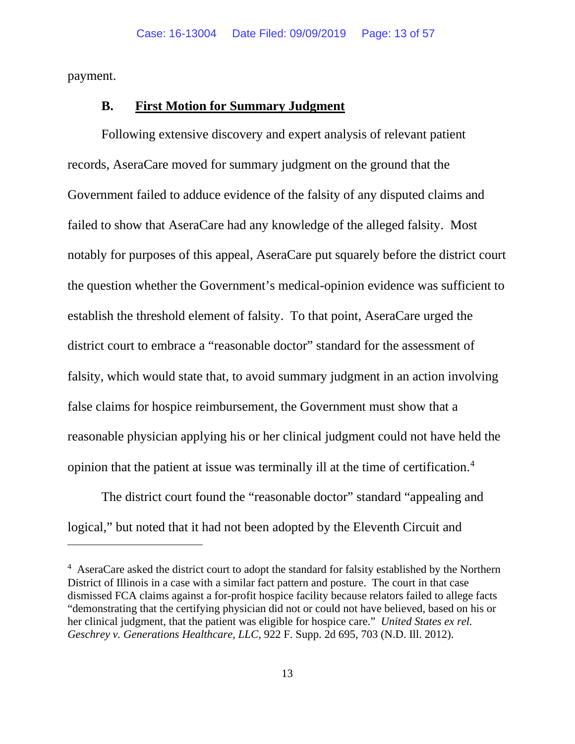payment.

## **B. First Motion for Summary Judgment**

Following extensive discovery and expert analysis of relevant patient records, AseraCare moved for summary judgment on the ground that the Government failed to adduce evidence of the falsity of any disputed claims and failed to show that AseraCare had any knowledge of the alleged falsity. Most notably for purposes of this appeal, AseraCare put squarely before the district court the question whether the Government's medical-opinion evidence was sufficient to establish the threshold element of falsity. To that point, AseraCare urged the district court to embrace a "reasonable doctor" standard for the assessment of falsity, which would state that, to avoid summary judgment in an action involving false claims for hospice reimbursement, the Government must show that a reasonable physician applying his or her clinical judgment could not have held the opinion that the patient at issue was terminally ill at the time of certification.<sup>[4](#page-12-0)</sup>

The district court found the "reasonable doctor" standard "appealing and logical," but noted that it had not been adopted by the Eleventh Circuit and

<span id="page-12-0"></span><sup>&</sup>lt;sup>4</sup> AseraCare asked the district court to adopt the standard for falsity established by the Northern District of Illinois in a case with a similar fact pattern and posture. The court in that case dismissed FCA claims against a for-profit hospice facility because relators failed to allege facts "demonstrating that the certifying physician did not or could not have believed, based on his or her clinical judgment, that the patient was eligible for hospice care." *United States ex rel. Geschrey v. Generations Healthcare, LLC*, 922 F. Supp. 2d 695, 703 (N.D. Ill. 2012).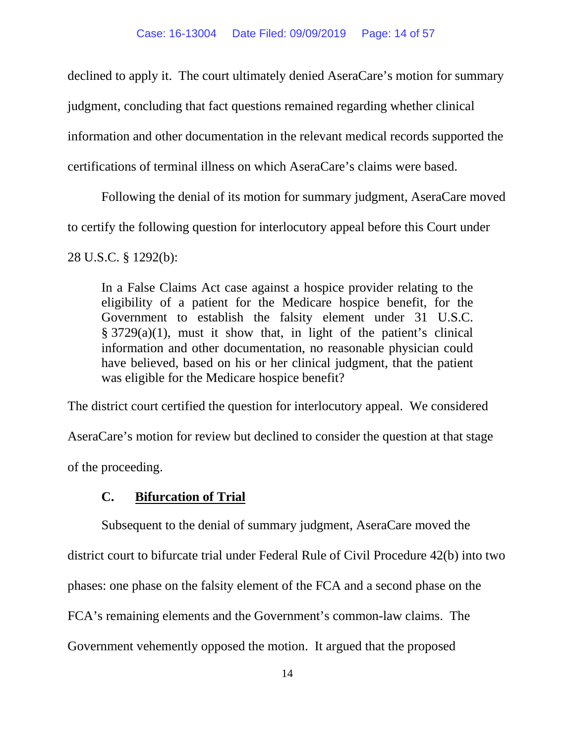declined to apply it. The court ultimately denied AseraCare's motion for summary

judgment, concluding that fact questions remained regarding whether clinical

information and other documentation in the relevant medical records supported the

certifications of terminal illness on which AseraCare's claims were based.

Following the denial of its motion for summary judgment, AseraCare moved

to certify the following question for interlocutory appeal before this Court under

28 U.S.C. § 1292(b):

In a False Claims Act case against a hospice provider relating to the eligibility of a patient for the Medicare hospice benefit, for the Government to establish the falsity element under 31 U.S.C. § 3729(a)(1), must it show that, in light of the patient's clinical information and other documentation, no reasonable physician could have believed, based on his or her clinical judgment, that the patient was eligible for the Medicare hospice benefit?

The district court certified the question for interlocutory appeal. We considered AseraCare's motion for review but declined to consider the question at that stage

of the proceeding.

# **C. Bifurcation of Trial**

Subsequent to the denial of summary judgment, AseraCare moved the district court to bifurcate trial under Federal Rule of Civil Procedure 42(b) into two phases: one phase on the falsity element of the FCA and a second phase on the FCA's remaining elements and the Government's common-law claims. The Government vehemently opposed the motion. It argued that the proposed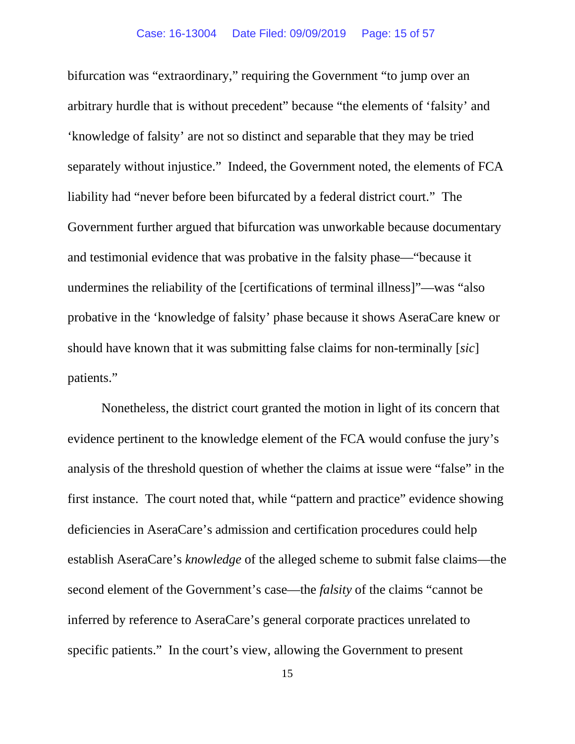bifurcation was "extraordinary," requiring the Government "to jump over an arbitrary hurdle that is without precedent" because "the elements of 'falsity' and 'knowledge of falsity' are not so distinct and separable that they may be tried separately without injustice." Indeed, the Government noted, the elements of FCA liability had "never before been bifurcated by a federal district court." The Government further argued that bifurcation was unworkable because documentary and testimonial evidence that was probative in the falsity phase—"because it undermines the reliability of the [certifications of terminal illness]"—was "also probative in the 'knowledge of falsity' phase because it shows AseraCare knew or should have known that it was submitting false claims for non-terminally [*sic*] patients."

Nonetheless, the district court granted the motion in light of its concern that evidence pertinent to the knowledge element of the FCA would confuse the jury's analysis of the threshold question of whether the claims at issue were "false" in the first instance. The court noted that, while "pattern and practice" evidence showing deficiencies in AseraCare's admission and certification procedures could help establish AseraCare's *knowledge* of the alleged scheme to submit false claims—the second element of the Government's case—the *falsity* of the claims "cannot be inferred by reference to AseraCare's general corporate practices unrelated to specific patients." In the court's view, allowing the Government to present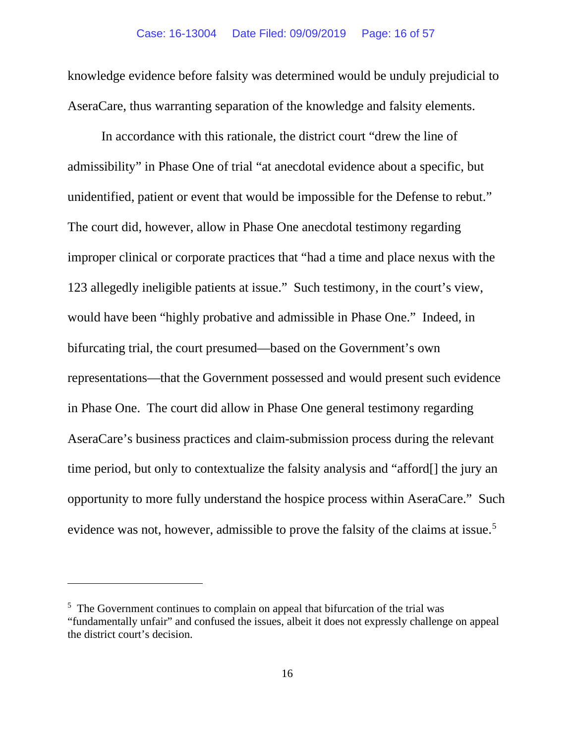knowledge evidence before falsity was determined would be unduly prejudicial to AseraCare, thus warranting separation of the knowledge and falsity elements.

In accordance with this rationale, the district court "drew the line of admissibility" in Phase One of trial "at anecdotal evidence about a specific, but unidentified, patient or event that would be impossible for the Defense to rebut." The court did, however, allow in Phase One anecdotal testimony regarding improper clinical or corporate practices that "had a time and place nexus with the 123 allegedly ineligible patients at issue." Such testimony, in the court's view, would have been "highly probative and admissible in Phase One." Indeed, in bifurcating trial, the court presumed—based on the Government's own representations—that the Government possessed and would present such evidence in Phase One. The court did allow in Phase One general testimony regarding AseraCare's business practices and claim-submission process during the relevant time period, but only to contextualize the falsity analysis and "afford[] the jury an opportunity to more fully understand the hospice process within AseraCare." Such evidence was not, however, admissible to prove the falsity of the claims at issue.<sup>[5](#page-15-0)</sup>

<span id="page-15-0"></span><sup>&</sup>lt;sup>5</sup> The Government continues to complain on appeal that bifurcation of the trial was "fundamentally unfair" and confused the issues, albeit it does not expressly challenge on appeal the district court's decision.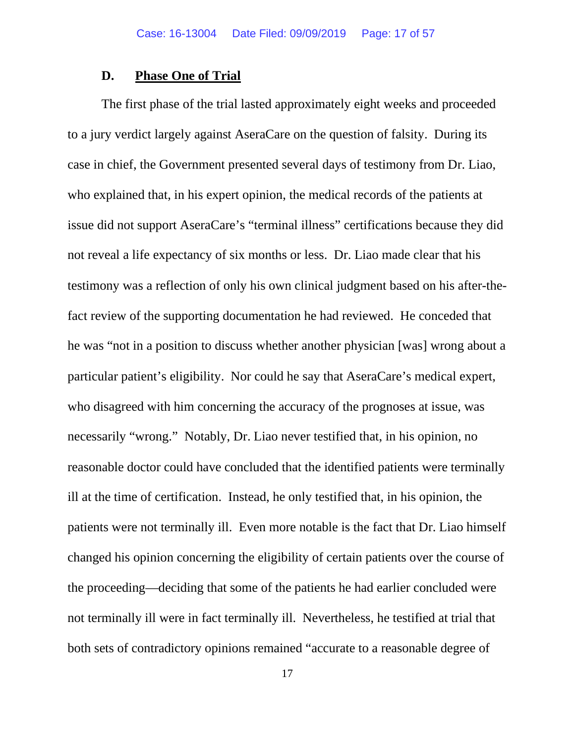### **D. Phase One of Trial**

The first phase of the trial lasted approximately eight weeks and proceeded to a jury verdict largely against AseraCare on the question of falsity. During its case in chief, the Government presented several days of testimony from Dr. Liao, who explained that, in his expert opinion, the medical records of the patients at issue did not support AseraCare's "terminal illness" certifications because they did not reveal a life expectancy of six months or less. Dr. Liao made clear that his testimony was a reflection of only his own clinical judgment based on his after-thefact review of the supporting documentation he had reviewed. He conceded that he was "not in a position to discuss whether another physician [was] wrong about a particular patient's eligibility. Nor could he say that AseraCare's medical expert, who disagreed with him concerning the accuracy of the prognoses at issue, was necessarily "wrong." Notably, Dr. Liao never testified that, in his opinion, no reasonable doctor could have concluded that the identified patients were terminally ill at the time of certification. Instead, he only testified that, in his opinion, the patients were not terminally ill. Even more notable is the fact that Dr. Liao himself changed his opinion concerning the eligibility of certain patients over the course of the proceeding—deciding that some of the patients he had earlier concluded were not terminally ill were in fact terminally ill. Nevertheless, he testified at trial that both sets of contradictory opinions remained "accurate to a reasonable degree of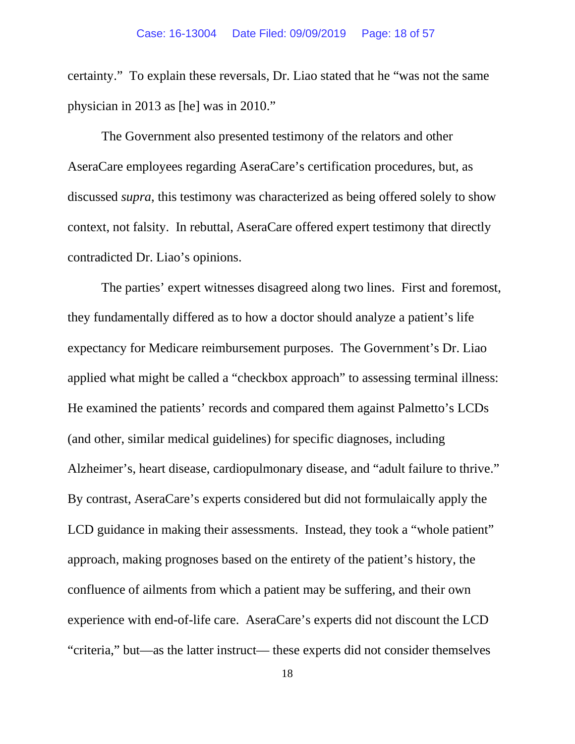certainty." To explain these reversals, Dr. Liao stated that he "was not the same physician in 2013 as [he] was in 2010."

The Government also presented testimony of the relators and other AseraCare employees regarding AseraCare's certification procedures, but, as discussed *supra*, this testimony was characterized as being offered solely to show context, not falsity. In rebuttal, AseraCare offered expert testimony that directly contradicted Dr. Liao's opinions.

The parties' expert witnesses disagreed along two lines. First and foremost, they fundamentally differed as to how a doctor should analyze a patient's life expectancy for Medicare reimbursement purposes. The Government's Dr. Liao applied what might be called a "checkbox approach" to assessing terminal illness: He examined the patients' records and compared them against Palmetto's LCDs (and other, similar medical guidelines) for specific diagnoses, including Alzheimer's, heart disease, cardiopulmonary disease, and "adult failure to thrive." By contrast, AseraCare's experts considered but did not formulaically apply the LCD guidance in making their assessments. Instead, they took a "whole patient" approach, making prognoses based on the entirety of the patient's history, the confluence of ailments from which a patient may be suffering, and their own experience with end-of-life care. AseraCare's experts did not discount the LCD "criteria," but—as the latter instruct— these experts did not consider themselves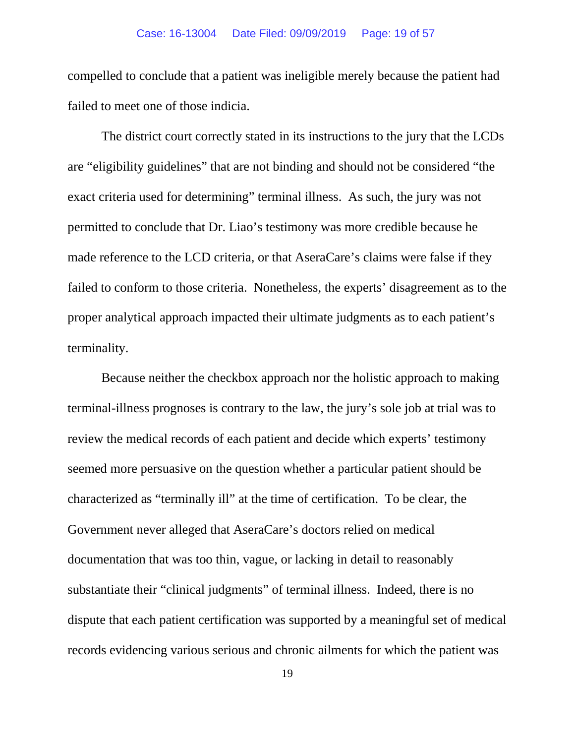#### Case: 16-13004 Date Filed: 09/09/2019 Page: 19 of 57

compelled to conclude that a patient was ineligible merely because the patient had failed to meet one of those indicia.

The district court correctly stated in its instructions to the jury that the LCDs are "eligibility guidelines" that are not binding and should not be considered "the exact criteria used for determining" terminal illness. As such, the jury was not permitted to conclude that Dr. Liao's testimony was more credible because he made reference to the LCD criteria, or that AseraCare's claims were false if they failed to conform to those criteria. Nonetheless, the experts' disagreement as to the proper analytical approach impacted their ultimate judgments as to each patient's terminality.

Because neither the checkbox approach nor the holistic approach to making terminal-illness prognoses is contrary to the law, the jury's sole job at trial was to review the medical records of each patient and decide which experts' testimony seemed more persuasive on the question whether a particular patient should be characterized as "terminally ill" at the time of certification. To be clear, the Government never alleged that AseraCare's doctors relied on medical documentation that was too thin, vague, or lacking in detail to reasonably substantiate their "clinical judgments" of terminal illness. Indeed, there is no dispute that each patient certification was supported by a meaningful set of medical records evidencing various serious and chronic ailments for which the patient was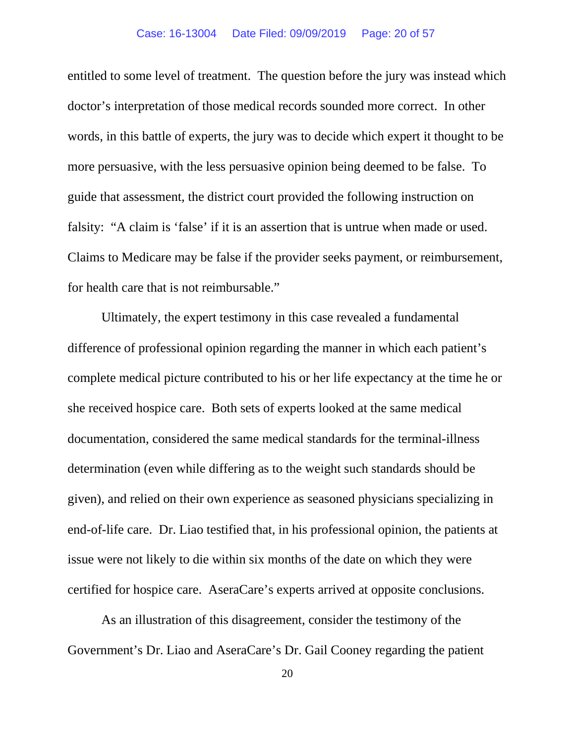entitled to some level of treatment. The question before the jury was instead which doctor's interpretation of those medical records sounded more correct. In other words, in this battle of experts, the jury was to decide which expert it thought to be more persuasive, with the less persuasive opinion being deemed to be false. To guide that assessment, the district court provided the following instruction on falsity: "A claim is 'false' if it is an assertion that is untrue when made or used. Claims to Medicare may be false if the provider seeks payment, or reimbursement, for health care that is not reimbursable."

Ultimately, the expert testimony in this case revealed a fundamental difference of professional opinion regarding the manner in which each patient's complete medical picture contributed to his or her life expectancy at the time he or she received hospice care. Both sets of experts looked at the same medical documentation, considered the same medical standards for the terminal-illness determination (even while differing as to the weight such standards should be given), and relied on their own experience as seasoned physicians specializing in end-of-life care. Dr. Liao testified that, in his professional opinion, the patients at issue were not likely to die within six months of the date on which they were certified for hospice care. AseraCare's experts arrived at opposite conclusions.

As an illustration of this disagreement, consider the testimony of the Government's Dr. Liao and AseraCare's Dr. Gail Cooney regarding the patient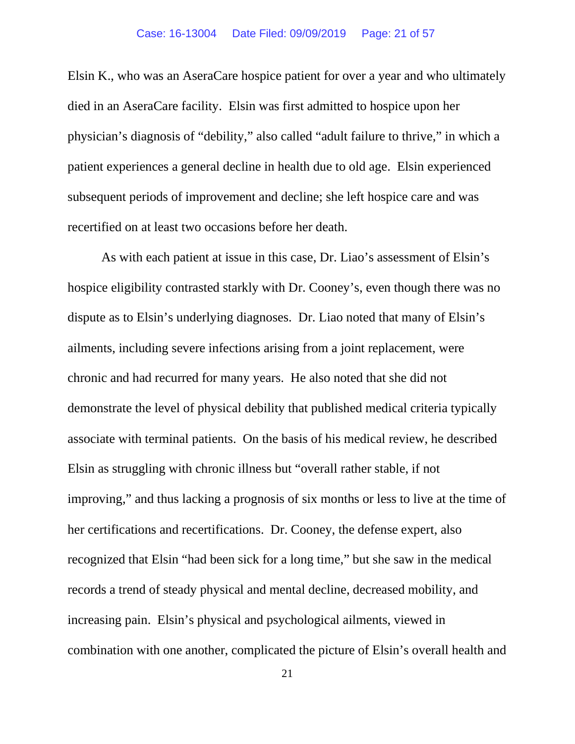Elsin K., who was an AseraCare hospice patient for over a year and who ultimately died in an AseraCare facility. Elsin was first admitted to hospice upon her physician's diagnosis of "debility," also called "adult failure to thrive," in which a patient experiences a general decline in health due to old age. Elsin experienced subsequent periods of improvement and decline; she left hospice care and was recertified on at least two occasions before her death.

As with each patient at issue in this case, Dr. Liao's assessment of Elsin's hospice eligibility contrasted starkly with Dr. Cooney's, even though there was no dispute as to Elsin's underlying diagnoses. Dr. Liao noted that many of Elsin's ailments, including severe infections arising from a joint replacement, were chronic and had recurred for many years. He also noted that she did not demonstrate the level of physical debility that published medical criteria typically associate with terminal patients. On the basis of his medical review, he described Elsin as struggling with chronic illness but "overall rather stable, if not improving," and thus lacking a prognosis of six months or less to live at the time of her certifications and recertifications. Dr. Cooney, the defense expert, also recognized that Elsin "had been sick for a long time," but she saw in the medical records a trend of steady physical and mental decline, decreased mobility, and increasing pain. Elsin's physical and psychological ailments, viewed in combination with one another, complicated the picture of Elsin's overall health and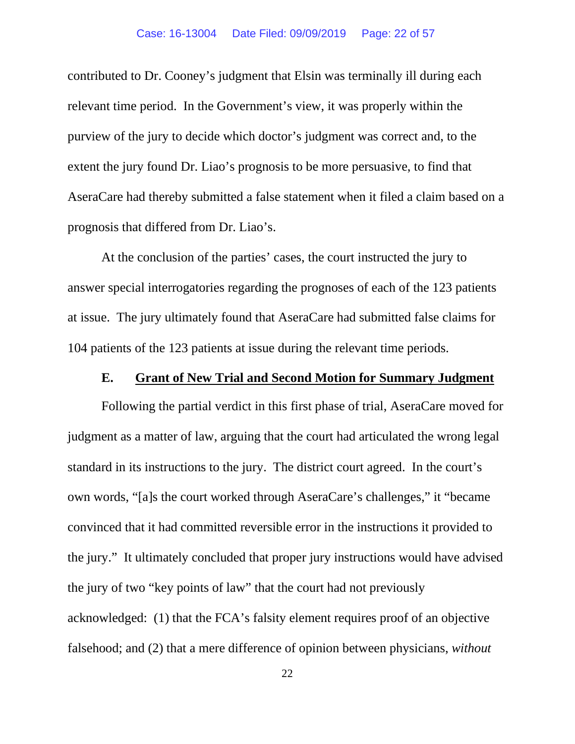contributed to Dr. Cooney's judgment that Elsin was terminally ill during each relevant time period. In the Government's view, it was properly within the purview of the jury to decide which doctor's judgment was correct and, to the extent the jury found Dr. Liao's prognosis to be more persuasive, to find that AseraCare had thereby submitted a false statement when it filed a claim based on a prognosis that differed from Dr. Liao's.

At the conclusion of the parties' cases, the court instructed the jury to answer special interrogatories regarding the prognoses of each of the 123 patients at issue. The jury ultimately found that AseraCare had submitted false claims for 104 patients of the 123 patients at issue during the relevant time periods.

### **E. Grant of New Trial and Second Motion for Summary Judgment**

Following the partial verdict in this first phase of trial, AseraCare moved for judgment as a matter of law, arguing that the court had articulated the wrong legal standard in its instructions to the jury. The district court agreed. In the court's own words, "[a]s the court worked through AseraCare's challenges," it "became convinced that it had committed reversible error in the instructions it provided to the jury." It ultimately concluded that proper jury instructions would have advised the jury of two "key points of law" that the court had not previously acknowledged: (1) that the FCA's falsity element requires proof of an objective falsehood; and (2) that a mere difference of opinion between physicians, *without*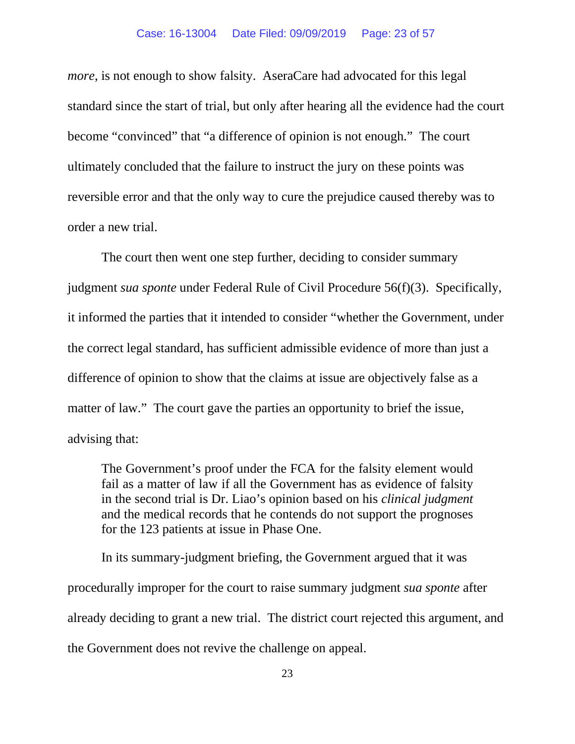*more*, is not enough to show falsity. AseraCare had advocated for this legal standard since the start of trial, but only after hearing all the evidence had the court become "convinced" that "a difference of opinion is not enough." The court ultimately concluded that the failure to instruct the jury on these points was reversible error and that the only way to cure the prejudice caused thereby was to order a new trial.

The court then went one step further, deciding to consider summary judgment *sua sponte* under Federal Rule of Civil Procedure 56(f)(3). Specifically, it informed the parties that it intended to consider "whether the Government, under the correct legal standard, has sufficient admissible evidence of more than just a difference of opinion to show that the claims at issue are objectively false as a matter of law." The court gave the parties an opportunity to brief the issue, advising that:

The Government's proof under the FCA for the falsity element would fail as a matter of law if all the Government has as evidence of falsity in the second trial is Dr. Liao's opinion based on his *clinical judgment* and the medical records that he contends do not support the prognoses for the 123 patients at issue in Phase One.

In its summary-judgment briefing, the Government argued that it was procedurally improper for the court to raise summary judgment *sua sponte* after already deciding to grant a new trial. The district court rejected this argument, and the Government does not revive the challenge on appeal.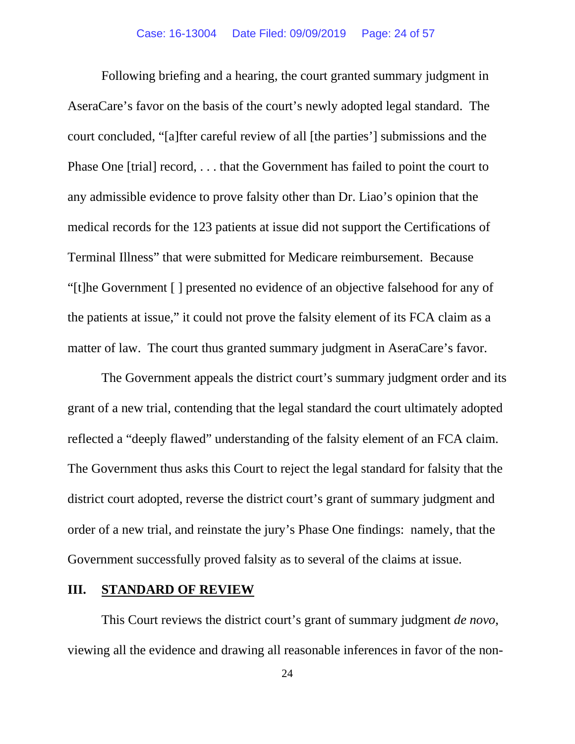Following briefing and a hearing, the court granted summary judgment in AseraCare's favor on the basis of the court's newly adopted legal standard. The court concluded, "[a]fter careful review of all [the parties'] submissions and the Phase One [trial] record, . . . that the Government has failed to point the court to any admissible evidence to prove falsity other than Dr. Liao's opinion that the medical records for the 123 patients at issue did not support the Certifications of Terminal Illness" that were submitted for Medicare reimbursement. Because "[t]he Government [ ] presented no evidence of an objective falsehood for any of the patients at issue," it could not prove the falsity element of its FCA claim as a matter of law. The court thus granted summary judgment in AseraCare's favor.

The Government appeals the district court's summary judgment order and its grant of a new trial, contending that the legal standard the court ultimately adopted reflected a "deeply flawed" understanding of the falsity element of an FCA claim. The Government thus asks this Court to reject the legal standard for falsity that the district court adopted, reverse the district court's grant of summary judgment and order of a new trial, and reinstate the jury's Phase One findings: namely, that the Government successfully proved falsity as to several of the claims at issue.

### **III. STANDARD OF REVIEW**

This Court reviews the district court's grant of summary judgment *de novo*, viewing all the evidence and drawing all reasonable inferences in favor of the non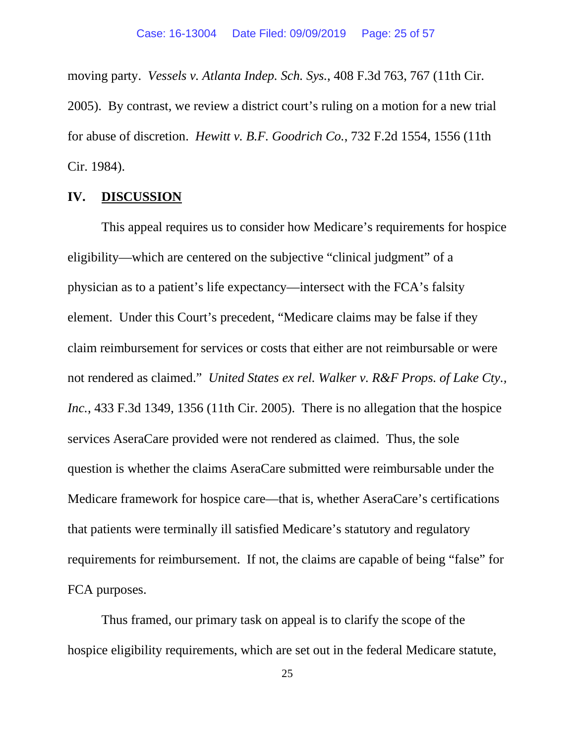moving party. *Vessels v. Atlanta Indep. Sch. Sys.*, 408 F.3d 763, 767 (11th Cir. 2005). By contrast, we review a district court's ruling on a motion for a new trial for abuse of discretion. *Hewitt v. B.F. Goodrich Co.*, 732 F.2d 1554, 1556 (11th Cir. 1984).

#### **IV. DISCUSSION**

This appeal requires us to consider how Medicare's requirements for hospice eligibility—which are centered on the subjective "clinical judgment" of a physician as to a patient's life expectancy—intersect with the FCA's falsity element. Under this Court's precedent, "Medicare claims may be false if they claim reimbursement for services or costs that either are not reimbursable or were not rendered as claimed." *United States ex rel. Walker v. R&F Props. of Lake Cty., Inc.*, 433 F.3d 1349, 1356 (11th Cir. 2005). There is no allegation that the hospice services AseraCare provided were not rendered as claimed. Thus, the sole question is whether the claims AseraCare submitted were reimbursable under the Medicare framework for hospice care—that is, whether AseraCare's certifications that patients were terminally ill satisfied Medicare's statutory and regulatory requirements for reimbursement. If not, the claims are capable of being "false" for FCA purposes.

Thus framed, our primary task on appeal is to clarify the scope of the hospice eligibility requirements, which are set out in the federal Medicare statute,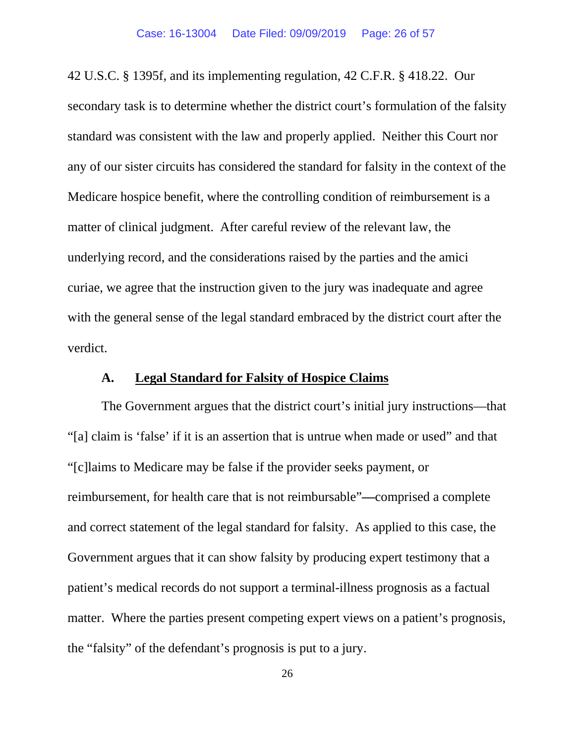42 U.S.C. § 1395f, and its implementing regulation, 42 C.F.R. § 418.22. Our secondary task is to determine whether the district court's formulation of the falsity standard was consistent with the law and properly applied. Neither this Court nor any of our sister circuits has considered the standard for falsity in the context of the Medicare hospice benefit, where the controlling condition of reimbursement is a matter of clinical judgment. After careful review of the relevant law, the underlying record, and the considerations raised by the parties and the amici curiae, we agree that the instruction given to the jury was inadequate and agree with the general sense of the legal standard embraced by the district court after the verdict.

# **A. Legal Standard for Falsity of Hospice Claims**

The Government argues that the district court's initial jury instructions—that "[a] claim is 'false' if it is an assertion that is untrue when made or used" and that "[c]laims to Medicare may be false if the provider seeks payment, or reimbursement, for health care that is not reimbursable"**—**comprised a complete and correct statement of the legal standard for falsity. As applied to this case, the Government argues that it can show falsity by producing expert testimony that a patient's medical records do not support a terminal-illness prognosis as a factual matter. Where the parties present competing expert views on a patient's prognosis, the "falsity" of the defendant's prognosis is put to a jury.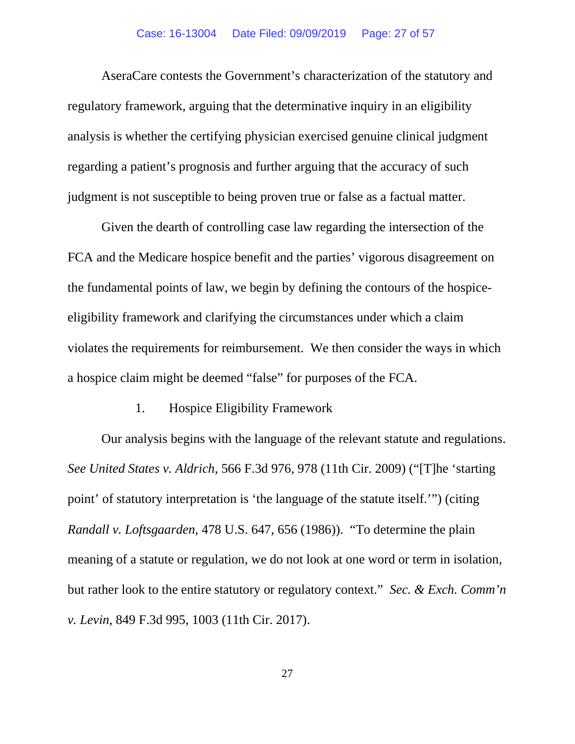#### Case: 16-13004 Date Filed: 09/09/2019 Page: 27 of 57

AseraCare contests the Government's characterization of the statutory and regulatory framework, arguing that the determinative inquiry in an eligibility analysis is whether the certifying physician exercised genuine clinical judgment regarding a patient's prognosis and further arguing that the accuracy of such judgment is not susceptible to being proven true or false as a factual matter.

Given the dearth of controlling case law regarding the intersection of the FCA and the Medicare hospice benefit and the parties' vigorous disagreement on the fundamental points of law, we begin by defining the contours of the hospiceeligibility framework and clarifying the circumstances under which a claim violates the requirements for reimbursement. We then consider the ways in which a hospice claim might be deemed "false" for purposes of the FCA.

## 1. Hospice Eligibility Framework

Our analysis begins with the language of the relevant statute and regulations. *See United States v. Aldrich*, 566 F.3d 976, 978 (11th Cir. 2009) ("[T]he 'starting point' of statutory interpretation is 'the language of the statute itself.'") (citing *Randall v. Loftsgaarden*, 478 U.S. 647, 656 (1986)). "To determine the plain meaning of a statute or regulation, we do not look at one word or term in isolation, but rather look to the entire statutory or regulatory context." *Sec. & Exch. Comm'n v. Levin*, 849 F.3d 995, 1003 (11th Cir. 2017).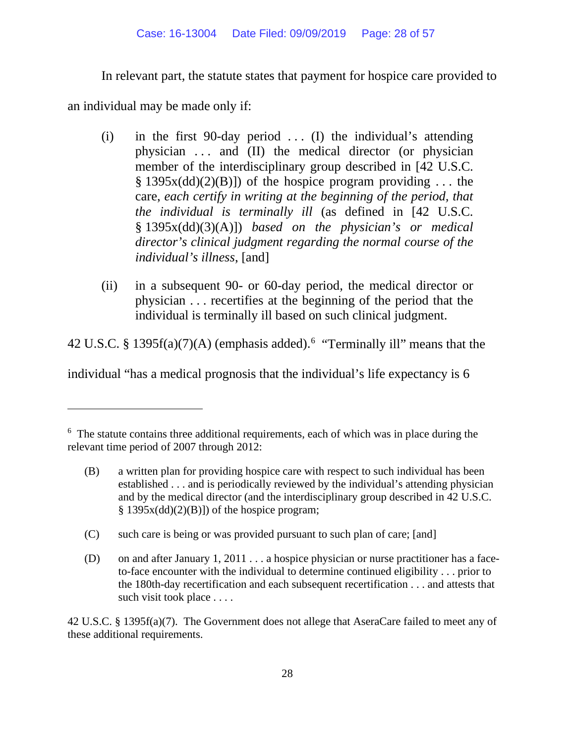In relevant part, the statute states that payment for hospice care provided to

an individual may be made only if:

- (i) in the first 90-day period  $\dots$  (I) the individual's attending physician . . . and (II) the medical director (or physician member of the interdisciplinary group described in [42 U.S.C.  $\S$  1395x(dd)(2)(B)]) of the hospice program providing ... the care, *each certify in writing at the beginning of the period, that the individual is terminally ill* (as defined in [42 U.S.C. § 1395x(dd)(3)(A)]) *based on the physician's or medical director's clinical judgment regarding the normal course of the individual's illness*, [and]
- (ii) in a subsequent 90- or 60-day period, the medical director or physician . . . recertifies at the beginning of the period that the individual is terminally ill based on such clinical judgment.

42 U.S.C. § 1395 $f(a)(7)(A)$  (emphasis added).<sup>[6](#page-27-0)</sup> "Terminally ill" means that the

individual "has a medical prognosis that the individual's life expectancy is 6

- (B) a written plan for providing hospice care with respect to such individual has been established . . . and is periodically reviewed by the individual's attending physician and by the medical director (and the interdisciplinary group described in 42 U.S.C.  $§$  1395x(dd)(2)(B)]) of the hospice program;
- (C) such care is being or was provided pursuant to such plan of care; [and]
- (D) on and after January 1, 2011 . . . a hospice physician or nurse practitioner has a faceto-face encounter with the individual to determine continued eligibility . . . prior to the 180th-day recertification and each subsequent recertification . . . and attests that such visit took place . . . .

42 U.S.C. § 1395f(a)(7). The Government does not allege that AseraCare failed to meet any of these additional requirements.

<span id="page-27-0"></span><sup>&</sup>lt;sup>6</sup> The statute contains three additional requirements, each of which was in place during the relevant time period of 2007 through 2012: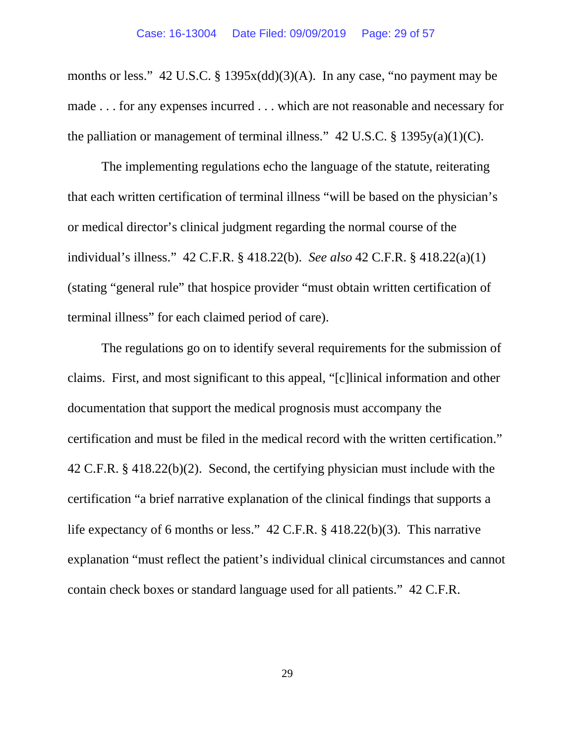months or less." 42 U.S.C. § 1395x(dd)(3)(A). In any case, "no payment may be made . . . for any expenses incurred . . . which are not reasonable and necessary for the palliation or management of terminal illness."  $42 \text{ U.S.C.}$  §  $1395y(a)(1)(C)$ .

The implementing regulations echo the language of the statute, reiterating that each written certification of terminal illness "will be based on the physician's or medical director's clinical judgment regarding the normal course of the individual's illness." 42 C.F.R. § 418.22(b). *See also* 42 C.F.R. § 418.22(a)(1) (stating "general rule" that hospice provider "must obtain written certification of terminal illness" for each claimed period of care).

The regulations go on to identify several requirements for the submission of claims. First, and most significant to this appeal, "[c]linical information and other documentation that support the medical prognosis must accompany the certification and must be filed in the medical record with the written certification." 42 C.F.R. § 418.22(b)(2). Second, the certifying physician must include with the certification "a brief narrative explanation of the clinical findings that supports a life expectancy of 6 months or less." 42 C.F.R. § 418.22(b)(3). This narrative explanation "must reflect the patient's individual clinical circumstances and cannot contain check boxes or standard language used for all patients." 42 C.F.R.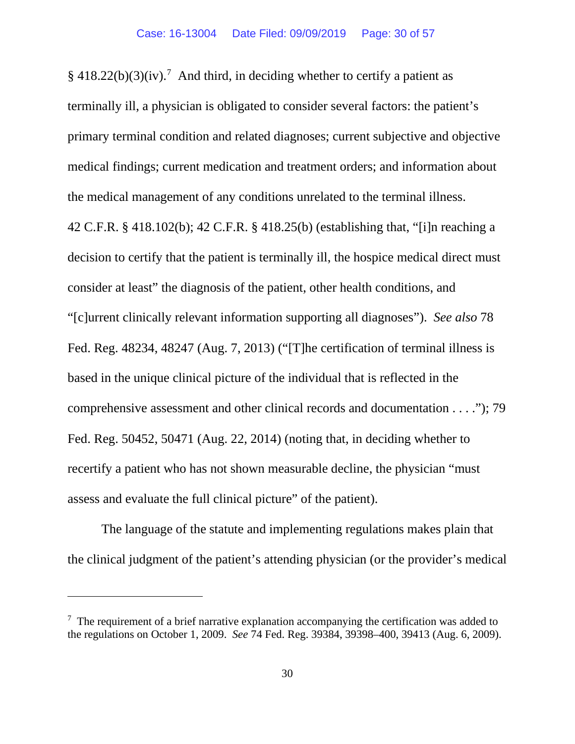$§$  418.22(b)(3)(iv).<sup>[7](#page-29-0)</sup> And third, in deciding whether to certify a patient as terminally ill, a physician is obligated to consider several factors: the patient's primary terminal condition and related diagnoses; current subjective and objective medical findings; current medication and treatment orders; and information about the medical management of any conditions unrelated to the terminal illness. 42 C.F.R. § 418.102(b); 42 C.F.R. § 418.25(b) (establishing that, "[i]n reaching a decision to certify that the patient is terminally ill, the hospice medical direct must consider at least" the diagnosis of the patient, other health conditions, and "[c]urrent clinically relevant information supporting all diagnoses"). *See also* 78 Fed. Reg. 48234, 48247 (Aug. 7, 2013) ("[T]he certification of terminal illness is based in the unique clinical picture of the individual that is reflected in the comprehensive assessment and other clinical records and documentation . . . ."); 79 Fed. Reg. 50452, 50471 (Aug. 22, 2014) (noting that, in deciding whether to recertify a patient who has not shown measurable decline, the physician "must assess and evaluate the full clinical picture" of the patient).

The language of the statute and implementing regulations makes plain that the clinical judgment of the patient's attending physician (or the provider's medical

<span id="page-29-0"></span> $7$  The requirement of a brief narrative explanation accompanying the certification was added to the regulations on October 1, 2009. *See* 74 Fed. Reg. 39384, 39398–400, 39413 (Aug. 6, 2009).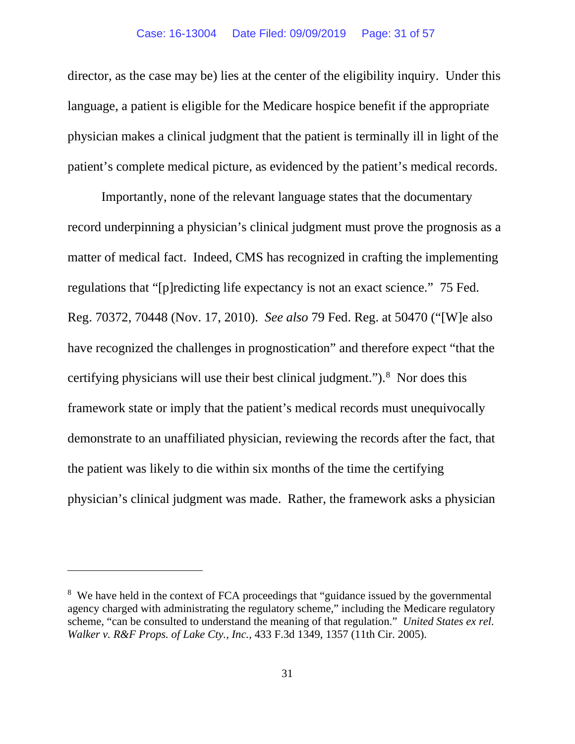director, as the case may be) lies at the center of the eligibility inquiry. Under this language, a patient is eligible for the Medicare hospice benefit if the appropriate physician makes a clinical judgment that the patient is terminally ill in light of the patient's complete medical picture, as evidenced by the patient's medical records.

Importantly, none of the relevant language states that the documentary record underpinning a physician's clinical judgment must prove the prognosis as a matter of medical fact. Indeed, CMS has recognized in crafting the implementing regulations that "[p]redicting life expectancy is not an exact science." 75 Fed. Reg. 70372, 70448 (Nov. 17, 2010). *See also* 79 Fed. Reg. at 50470 ("[W]e also have recognized the challenges in prognostication" and therefore expect "that the certifying physicians will use their best clinical judgment.").<sup>[8](#page-30-0)</sup> Nor does this framework state or imply that the patient's medical records must unequivocally demonstrate to an unaffiliated physician, reviewing the records after the fact, that the patient was likely to die within six months of the time the certifying physician's clinical judgment was made. Rather, the framework asks a physician

<span id="page-30-0"></span><sup>&</sup>lt;sup>8</sup> We have held in the context of FCA proceedings that "guidance issued by the governmental agency charged with administrating the regulatory scheme," including the Medicare regulatory scheme, "can be consulted to understand the meaning of that regulation." *United States ex rel. Walker v. R&F Props. of Lake Cty., Inc.*, 433 F.3d 1349, 1357 (11th Cir. 2005).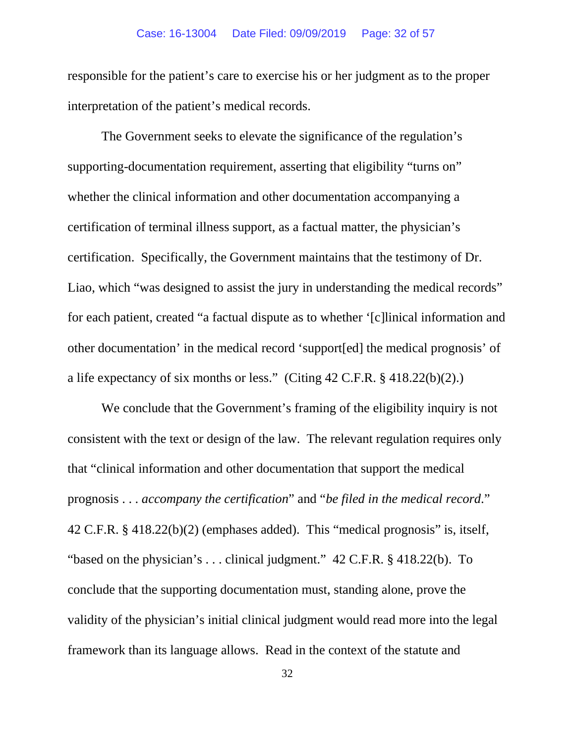responsible for the patient's care to exercise his or her judgment as to the proper interpretation of the patient's medical records.

The Government seeks to elevate the significance of the regulation's supporting-documentation requirement, asserting that eligibility "turns on" whether the clinical information and other documentation accompanying a certification of terminal illness support, as a factual matter, the physician's certification. Specifically, the Government maintains that the testimony of Dr. Liao, which "was designed to assist the jury in understanding the medical records" for each patient, created "a factual dispute as to whether '[c]linical information and other documentation' in the medical record 'support[ed] the medical prognosis' of a life expectancy of six months or less." (Citing 42 C.F.R. § 418.22(b)(2).)

We conclude that the Government's framing of the eligibility inquiry is not consistent with the text or design of the law. The relevant regulation requires only that "clinical information and other documentation that support the medical prognosis . . . *accompany the certification*" and "*be filed in the medical record*." 42 C.F.R. § 418.22(b)(2) (emphases added). This "medical prognosis" is, itself, "based on the physician's ... clinical judgment." 42 C.F.R. § 418.22(b). To conclude that the supporting documentation must, standing alone, prove the validity of the physician's initial clinical judgment would read more into the legal framework than its language allows. Read in the context of the statute and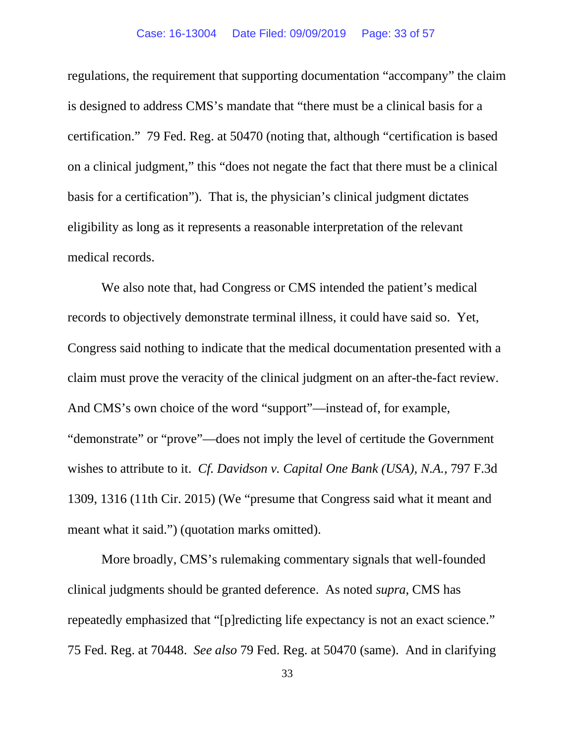regulations, the requirement that supporting documentation "accompany" the claim is designed to address CMS's mandate that "there must be a clinical basis for a certification." 79 Fed. Reg. at 50470 (noting that, although "certification is based on a clinical judgment," this "does not negate the fact that there must be a clinical basis for a certification"). That is, the physician's clinical judgment dictates eligibility as long as it represents a reasonable interpretation of the relevant medical records.

We also note that, had Congress or CMS intended the patient's medical records to objectively demonstrate terminal illness, it could have said so. Yet, Congress said nothing to indicate that the medical documentation presented with a claim must prove the veracity of the clinical judgment on an after-the-fact review. And CMS's own choice of the word "support"—instead of, for example, "demonstrate" or "prove"—does not imply the level of certitude the Government wishes to attribute to it. *Cf. Davidson v. Capital One Bank (USA), N.A.*, 797 F.3d 1309, 1316 (11th Cir. 2015) (We "presume that Congress said what it meant and meant what it said.") (quotation marks omitted).

More broadly, CMS's rulemaking commentary signals that well-founded clinical judgments should be granted deference. As noted *supra*, CMS has repeatedly emphasized that "[p]redicting life expectancy is not an exact science." 75 Fed. Reg. at 70448. *See also* 79 Fed. Reg. at 50470 (same). And in clarifying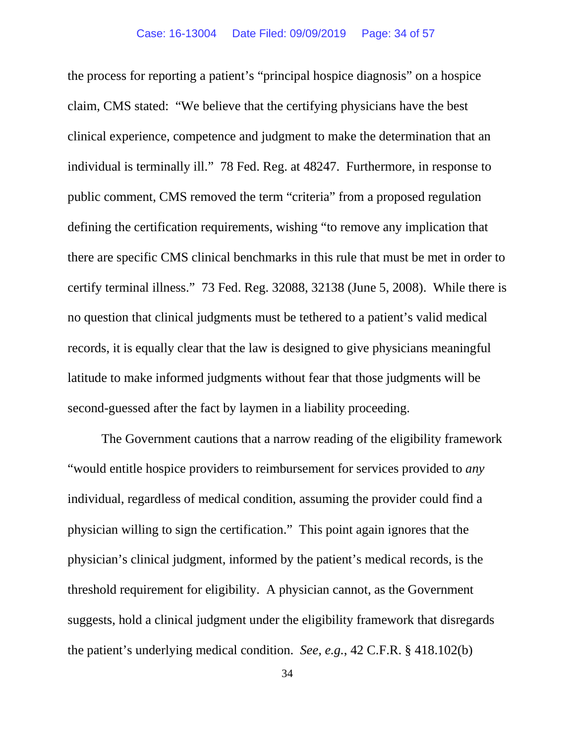the process for reporting a patient's "principal hospice diagnosis" on a hospice claim, CMS stated: "We believe that the certifying physicians have the best clinical experience, competence and judgment to make the determination that an individual is terminally ill." 78 Fed. Reg. at 48247. Furthermore, in response to public comment, CMS removed the term "criteria" from a proposed regulation defining the certification requirements, wishing "to remove any implication that there are specific CMS clinical benchmarks in this rule that must be met in order to certify terminal illness." 73 Fed. Reg. 32088, 32138 (June 5, 2008). While there is no question that clinical judgments must be tethered to a patient's valid medical records, it is equally clear that the law is designed to give physicians meaningful latitude to make informed judgments without fear that those judgments will be second-guessed after the fact by laymen in a liability proceeding.

The Government cautions that a narrow reading of the eligibility framework "would entitle hospice providers to reimbursement for services provided to *any*  individual, regardless of medical condition, assuming the provider could find a physician willing to sign the certification." This point again ignores that the physician's clinical judgment, informed by the patient's medical records, is the threshold requirement for eligibility. A physician cannot, as the Government suggests, hold a clinical judgment under the eligibility framework that disregards the patient's underlying medical condition. *See, e.g.*, 42 C.F.R. § 418.102(b)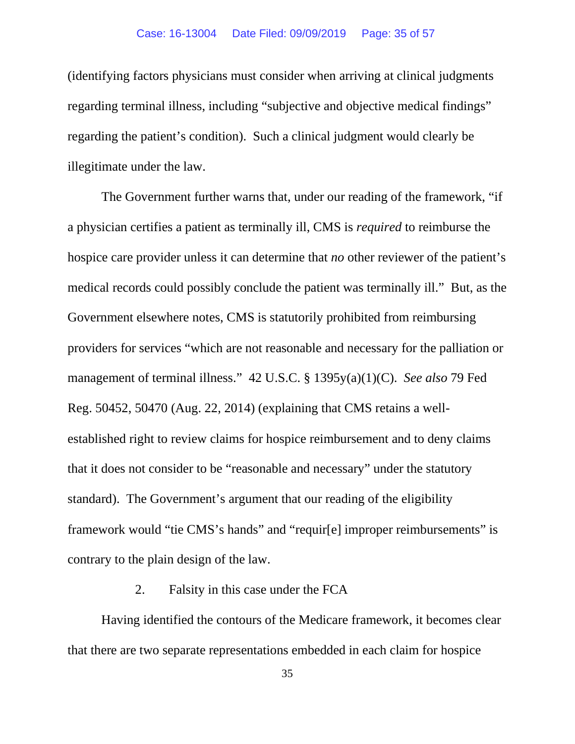(identifying factors physicians must consider when arriving at clinical judgments regarding terminal illness, including "subjective and objective medical findings" regarding the patient's condition). Such a clinical judgment would clearly be illegitimate under the law.

The Government further warns that, under our reading of the framework, "if a physician certifies a patient as terminally ill, CMS is *required* to reimburse the hospice care provider unless it can determine that *no* other reviewer of the patient's medical records could possibly conclude the patient was terminally ill." But, as the Government elsewhere notes, CMS is statutorily prohibited from reimbursing providers for services "which are not reasonable and necessary for the palliation or management of terminal illness." 42 U.S.C. § 1395y(a)(1)(C). *See also* 79 Fed Reg. 50452, 50470 (Aug. 22, 2014) (explaining that CMS retains a wellestablished right to review claims for hospice reimbursement and to deny claims that it does not consider to be "reasonable and necessary" under the statutory standard). The Government's argument that our reading of the eligibility framework would "tie CMS's hands" and "requir[e] improper reimbursements" is contrary to the plain design of the law.

## 2. Falsity in this case under the FCA

Having identified the contours of the Medicare framework, it becomes clear that there are two separate representations embedded in each claim for hospice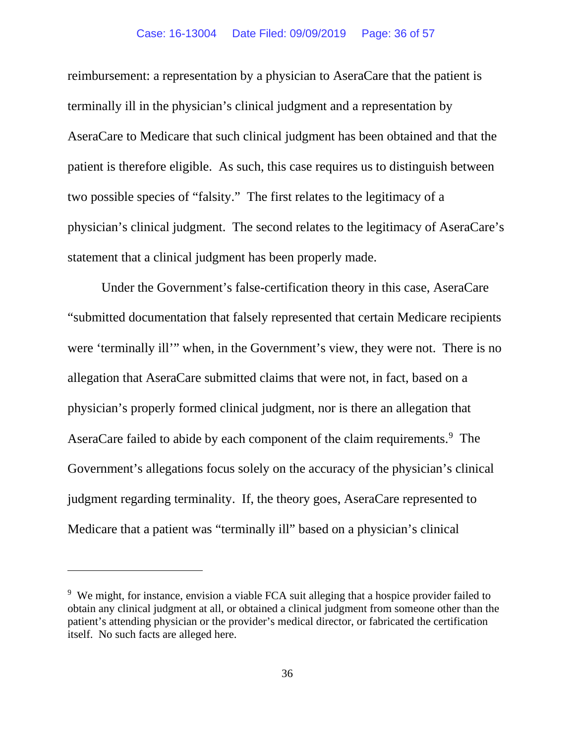#### Case: 16-13004 Date Filed: 09/09/2019 Page: 36 of 57

reimbursement: a representation by a physician to AseraCare that the patient is terminally ill in the physician's clinical judgment and a representation by AseraCare to Medicare that such clinical judgment has been obtained and that the patient is therefore eligible. As such, this case requires us to distinguish between two possible species of "falsity." The first relates to the legitimacy of a physician's clinical judgment. The second relates to the legitimacy of AseraCare's statement that a clinical judgment has been properly made.

Under the Government's false-certification theory in this case, AseraCare "submitted documentation that falsely represented that certain Medicare recipients were 'terminally ill'" when, in the Government's view, they were not. There is no allegation that AseraCare submitted claims that were not, in fact, based on a physician's properly formed clinical judgment, nor is there an allegation that AseraCare failed to abide by each component of the claim requirements. [9](#page-35-0) The Government's allegations focus solely on the accuracy of the physician's clinical judgment regarding terminality. If, the theory goes, AseraCare represented to Medicare that a patient was "terminally ill" based on a physician's clinical

<span id="page-35-0"></span><sup>&</sup>lt;sup>9</sup> We might, for instance, envision a viable FCA suit alleging that a hospice provider failed to obtain any clinical judgment at all, or obtained a clinical judgment from someone other than the patient's attending physician or the provider's medical director, or fabricated the certification itself. No such facts are alleged here.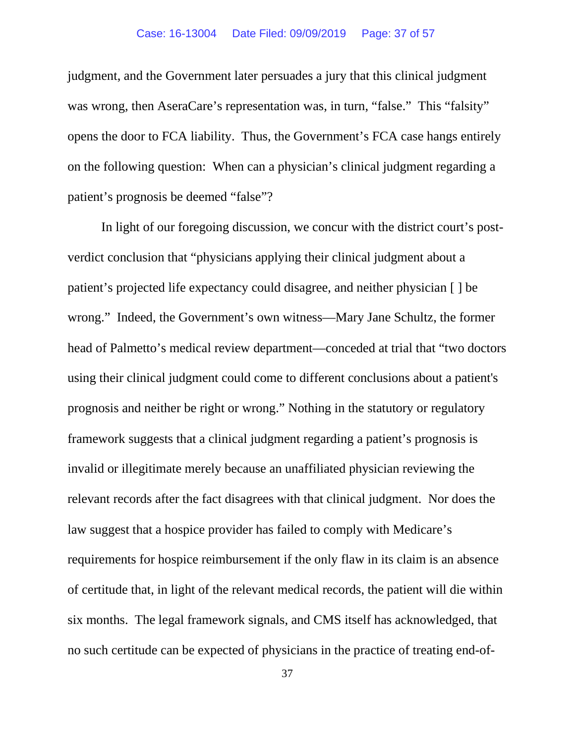judgment, and the Government later persuades a jury that this clinical judgment was wrong, then AseraCare's representation was, in turn, "false." This "falsity" opens the door to FCA liability. Thus, the Government's FCA case hangs entirely on the following question: When can a physician's clinical judgment regarding a patient's prognosis be deemed "false"?

In light of our foregoing discussion, we concur with the district court's postverdict conclusion that "physicians applying their clinical judgment about a patient's projected life expectancy could disagree, and neither physician [ ] be wrong." Indeed, the Government's own witness—Mary Jane Schultz, the former head of Palmetto's medical review department—conceded at trial that "two doctors using their clinical judgment could come to different conclusions about a patient's prognosis and neither be right or wrong." Nothing in the statutory or regulatory framework suggests that a clinical judgment regarding a patient's prognosis is invalid or illegitimate merely because an unaffiliated physician reviewing the relevant records after the fact disagrees with that clinical judgment. Nor does the law suggest that a hospice provider has failed to comply with Medicare's requirements for hospice reimbursement if the only flaw in its claim is an absence of certitude that, in light of the relevant medical records, the patient will die within six months. The legal framework signals, and CMS itself has acknowledged, that no such certitude can be expected of physicians in the practice of treating end-of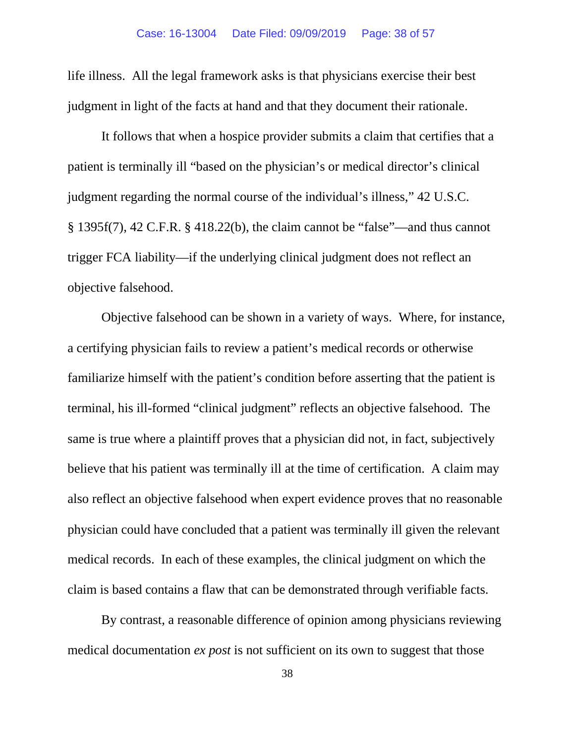life illness. All the legal framework asks is that physicians exercise their best judgment in light of the facts at hand and that they document their rationale.

It follows that when a hospice provider submits a claim that certifies that a patient is terminally ill "based on the physician's or medical director's clinical judgment regarding the normal course of the individual's illness," 42 U.S.C. § 1395f(7), 42 C.F.R. § 418.22(b), the claim cannot be "false"—and thus cannot trigger FCA liability—if the underlying clinical judgment does not reflect an objective falsehood.

Objective falsehood can be shown in a variety of ways. Where, for instance, a certifying physician fails to review a patient's medical records or otherwise familiarize himself with the patient's condition before asserting that the patient is terminal, his ill-formed "clinical judgment" reflects an objective falsehood. The same is true where a plaintiff proves that a physician did not, in fact, subjectively believe that his patient was terminally ill at the time of certification. A claim may also reflect an objective falsehood when expert evidence proves that no reasonable physician could have concluded that a patient was terminally ill given the relevant medical records. In each of these examples, the clinical judgment on which the claim is based contains a flaw that can be demonstrated through verifiable facts.

By contrast, a reasonable difference of opinion among physicians reviewing medical documentation *ex post* is not sufficient on its own to suggest that those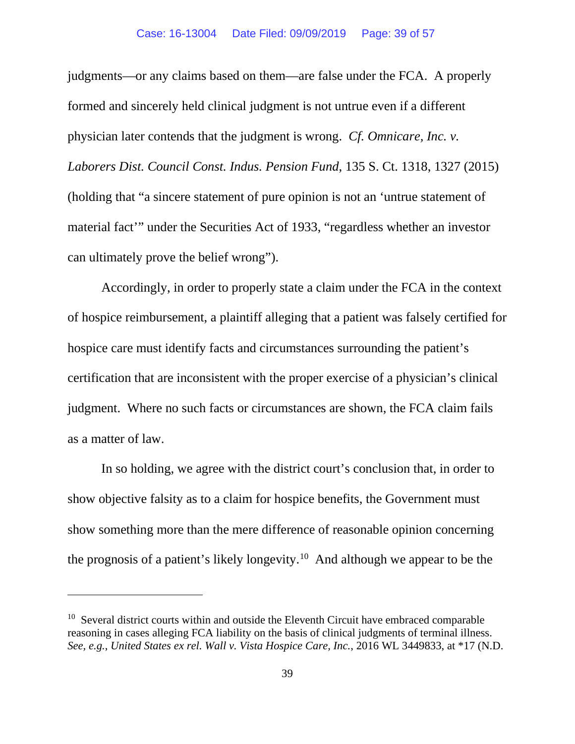judgments—or any claims based on them—are false under the FCA. A properly formed and sincerely held clinical judgment is not untrue even if a different physician later contends that the judgment is wrong. *Cf. Omnicare, Inc. v. Laborers Dist. Council Const. Indus. Pension Fund*, 135 S. Ct. 1318, 1327 (2015) (holding that "a sincere statement of pure opinion is not an 'untrue statement of material fact'" under the Securities Act of 1933, "regardless whether an investor can ultimately prove the belief wrong").

Accordingly, in order to properly state a claim under the FCA in the context of hospice reimbursement, a plaintiff alleging that a patient was falsely certified for hospice care must identify facts and circumstances surrounding the patient's certification that are inconsistent with the proper exercise of a physician's clinical judgment. Where no such facts or circumstances are shown, the FCA claim fails as a matter of law.

In so holding, we agree with the district court's conclusion that, in order to show objective falsity as to a claim for hospice benefits, the Government must show something more than the mere difference of reasonable opinion concerning the prognosis of a patient's likely longevity.<sup>[10](#page-38-0)</sup> And although we appear to be the

<span id="page-38-0"></span> $10$  Several district courts within and outside the Eleventh Circuit have embraced comparable reasoning in cases alleging FCA liability on the basis of clinical judgments of terminal illness. *See, e.g.*, *United States ex rel. Wall v. Vista Hospice Care, Inc.*, 2016 WL 3449833, at \*17 (N.D.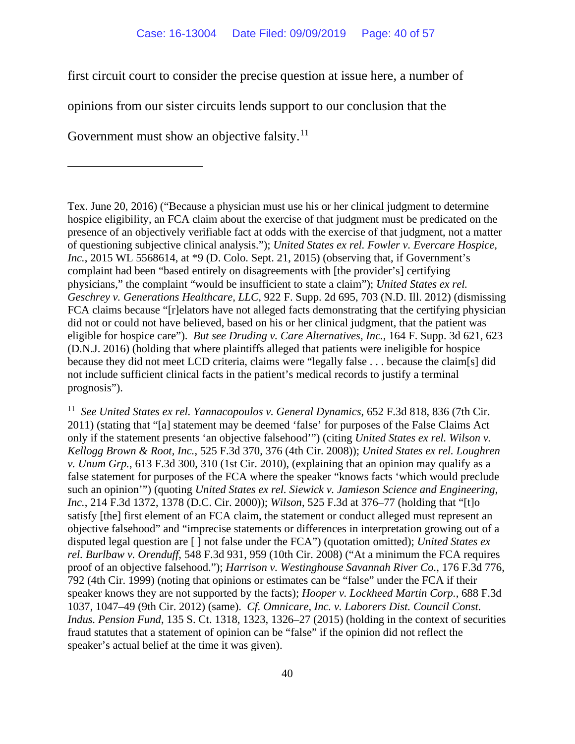first circuit court to consider the precise question at issue here, a number of

opinions from our sister circuits lends support to our conclusion that the

Government must show an objective falsity.<sup>11</sup>

Tex. June 20, 2016) ("Because a physician must use his or her clinical judgment to determine hospice eligibility, an FCA claim about the exercise of that judgment must be predicated on the presence of an objectively verifiable fact at odds with the exercise of that judgment, not a matter of questioning subjective clinical analysis."); *United States ex rel. Fowler v. Evercare Hospice, Inc.*, 2015 WL 5568614, at \*9 (D. Colo. Sept. 21, 2015) (observing that, if Government's complaint had been "based entirely on disagreements with [the provider's] certifying physicians," the complaint "would be insufficient to state a claim"); *United States ex rel. Geschrey v. Generations Healthcare, LLC*, 922 F. Supp. 2d 695, 703 (N.D. Ill. 2012) (dismissing FCA claims because "[r]elators have not alleged facts demonstrating that the certifying physician did not or could not have believed, based on his or her clinical judgment, that the patient was eligible for hospice care"). *But see Druding v. Care Alternatives, Inc.*, 164 F. Supp. 3d 621, 623 (D.N.J. 2016) (holding that where plaintiffs alleged that patients were ineligible for hospice because they did not meet LCD criteria, claims were "legally false . . . because the claim[s] did not include sufficient clinical facts in the patient's medical records to justify a terminal prognosis").

<span id="page-39-0"></span><sup>11</sup> See United States ex rel. Yannacopoulos v. General Dynamics, 652 F.3d 818, 836 (7th Cir. 2011) (stating that "[a] statement may be deemed 'false' for purposes of the False Claims Act only if the statement presents 'an objective falsehood'") (citing *United States ex rel. Wilson v. Kellogg Brown & Root, Inc.*, 525 F.3d 370, 376 (4th Cir. 2008)); *United States ex rel. Loughren v. Unum Grp.*, 613 F.3d 300, 310 (1st Cir. 2010), (explaining that an opinion may qualify as a false statement for purposes of the FCA where the speaker "knows facts 'which would preclude such an opinion'") (quoting *United States ex rel. Siewick v. Jamieson Science and Engineering, Inc.*, 214 F.3d 1372, 1378 (D.C. Cir. 2000)); *Wilson*, 525 F.3d at 376–77 (holding that "[t]o satisfy [the] first element of an FCA claim, the statement or conduct alleged must represent an objective falsehood" and "imprecise statements or differences in interpretation growing out of a disputed legal question are [ ] not false under the FCA") (quotation omitted); *United States ex rel. Burlbaw v. Orenduff*, 548 F.3d 931, 959 (10th Cir. 2008) ("At a minimum the FCA requires proof of an objective falsehood."); *Harrison v. Westinghouse Savannah River Co.*, 176 F.3d 776, 792 (4th Cir. 1999) (noting that opinions or estimates can be "false" under the FCA if their speaker knows they are not supported by the facts); *Hooper v. Lockheed Martin Corp.*, 688 F.3d 1037, 1047–49 (9th Cir. 2012) (same). *Cf. Omnicare, Inc. v. Laborers Dist. Council Const. Indus. Pension Fund*, 135 S. Ct. 1318, 1323, 1326–27 (2015) (holding in the context of securities fraud statutes that a statement of opinion can be "false" if the opinion did not reflect the speaker's actual belief at the time it was given).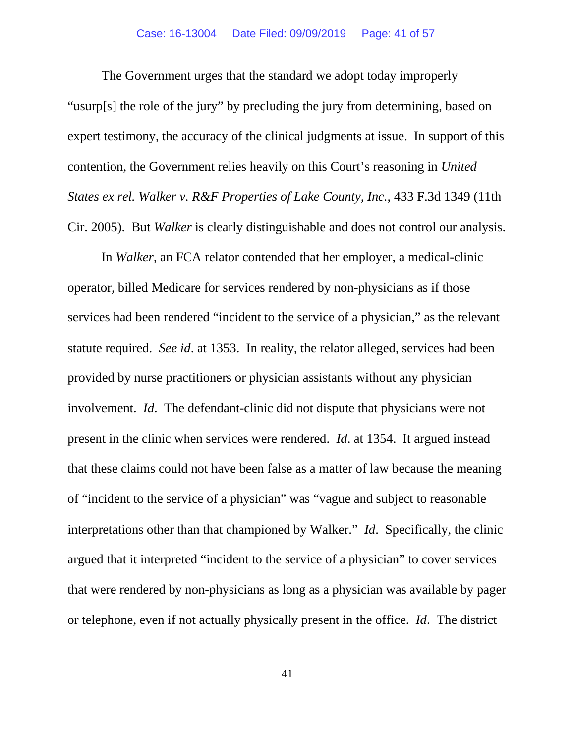#### Case: 16-13004 Date Filed: 09/09/2019 Page: 41 of 57

The Government urges that the standard we adopt today improperly "usurp[s] the role of the jury" by precluding the jury from determining, based on expert testimony, the accuracy of the clinical judgments at issue. In support of this contention, the Government relies heavily on this Court's reasoning in *United States ex rel. Walker v. R&F Properties of Lake County, Inc.*, 433 F.3d 1349 (11th Cir. 2005). But *Walker* is clearly distinguishable and does not control our analysis.

In *Walker*, an FCA relator contended that her employer, a medical-clinic operator, billed Medicare for services rendered by non-physicians as if those services had been rendered "incident to the service of a physician," as the relevant statute required. *See id*. at 1353. In reality, the relator alleged, services had been provided by nurse practitioners or physician assistants without any physician involvement. *Id*. The defendant-clinic did not dispute that physicians were not present in the clinic when services were rendered. *Id*. at 1354. It argued instead that these claims could not have been false as a matter of law because the meaning of "incident to the service of a physician" was "vague and subject to reasonable interpretations other than that championed by Walker." *Id*. Specifically, the clinic argued that it interpreted "incident to the service of a physician" to cover services that were rendered by non-physicians as long as a physician was available by pager or telephone, even if not actually physically present in the office. *Id*. The district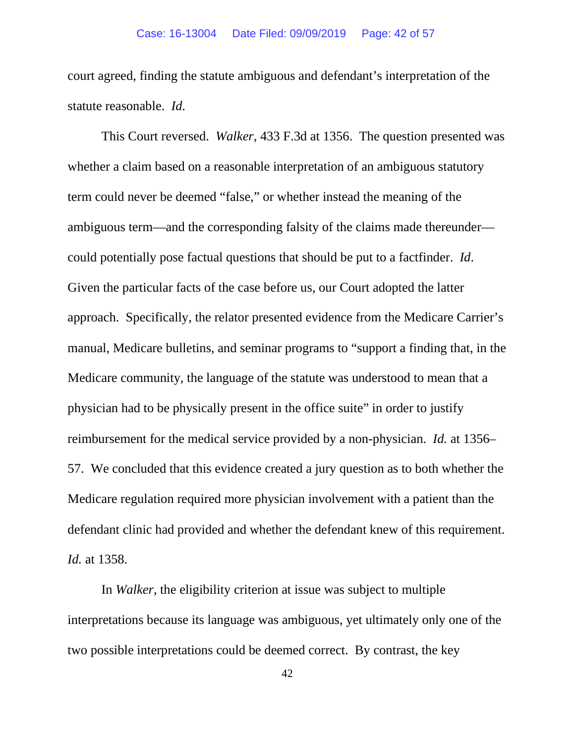court agreed, finding the statute ambiguous and defendant's interpretation of the statute reasonable. *Id*.

This Court reversed. *Walker*, 433 F.3d at 1356. The question presented was whether a claim based on a reasonable interpretation of an ambiguous statutory term could never be deemed "false," or whether instead the meaning of the ambiguous term—and the corresponding falsity of the claims made thereunder could potentially pose factual questions that should be put to a factfinder. *Id*. Given the particular facts of the case before us, our Court adopted the latter approach. Specifically, the relator presented evidence from the Medicare Carrier's manual, Medicare bulletins, and seminar programs to "support a finding that, in the Medicare community, the language of the statute was understood to mean that a physician had to be physically present in the office suite" in order to justify reimbursement for the medical service provided by a non-physician. *Id.* at 1356– 57. We concluded that this evidence created a jury question as to both whether the Medicare regulation required more physician involvement with a patient than the defendant clinic had provided and whether the defendant knew of this requirement. *Id.* at 1358.

In *Walker*, the eligibility criterion at issue was subject to multiple interpretations because its language was ambiguous, yet ultimately only one of the two possible interpretations could be deemed correct. By contrast, the key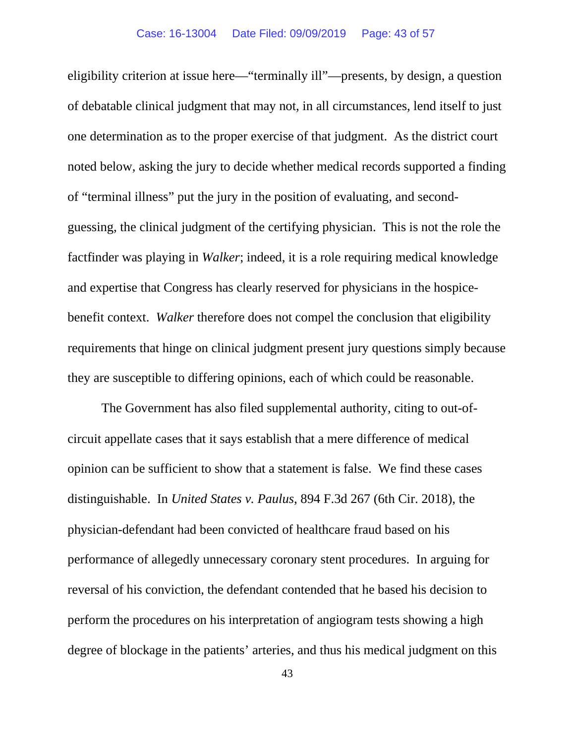eligibility criterion at issue here—"terminally ill"—presents, by design, a question of debatable clinical judgment that may not, in all circumstances, lend itself to just one determination as to the proper exercise of that judgment. As the district court noted below, asking the jury to decide whether medical records supported a finding of "terminal illness" put the jury in the position of evaluating, and secondguessing, the clinical judgment of the certifying physician. This is not the role the factfinder was playing in *Walker*; indeed, it is a role requiring medical knowledge and expertise that Congress has clearly reserved for physicians in the hospicebenefit context. *Walker* therefore does not compel the conclusion that eligibility requirements that hinge on clinical judgment present jury questions simply because they are susceptible to differing opinions, each of which could be reasonable.

The Government has also filed supplemental authority, citing to out-ofcircuit appellate cases that it says establish that a mere difference of medical opinion can be sufficient to show that a statement is false. We find these cases distinguishable. In *United States v. Paulus*, 894 F.3d 267 (6th Cir. 2018), the physician-defendant had been convicted of healthcare fraud based on his performance of allegedly unnecessary coronary stent procedures. In arguing for reversal of his conviction, the defendant contended that he based his decision to perform the procedures on his interpretation of angiogram tests showing a high degree of blockage in the patients' arteries, and thus his medical judgment on this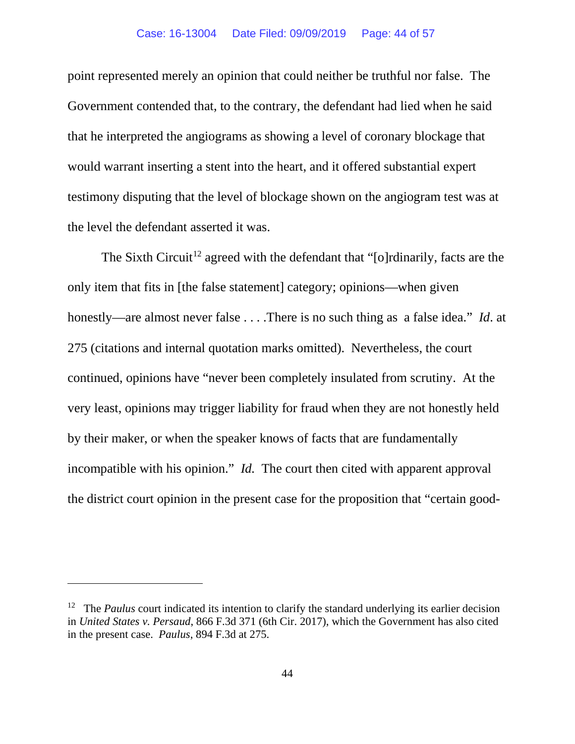point represented merely an opinion that could neither be truthful nor false. The Government contended that, to the contrary, the defendant had lied when he said that he interpreted the angiograms as showing a level of coronary blockage that would warrant inserting a stent into the heart, and it offered substantial expert testimony disputing that the level of blockage shown on the angiogram test was at the level the defendant asserted it was.

The Sixth Circuit<sup>[12](#page-43-0)</sup> agreed with the defendant that "[o]rdinarily, facts are the only item that fits in [the false statement] category; opinions—when given honestly—are almost never false . . . .There is no such thing as a false idea." *Id*. at 275 (citations and internal quotation marks omitted). Nevertheless, the court continued, opinions have "never been completely insulated from scrutiny. At the very least, opinions may trigger liability for fraud when they are not honestly held by their maker, or when the speaker knows of facts that are fundamentally incompatible with his opinion." *Id.* The court then cited with apparent approval the district court opinion in the present case for the proposition that "certain good-

<span id="page-43-0"></span><sup>&</sup>lt;sup>12</sup> The *Paulus* court indicated its intention to clarify the standard underlying its earlier decision in *United States v. Persaud*, 866 F.3d 371 (6th Cir. 2017), which the Government has also cited in the present case. *Paulus*, 894 F.3d at 275.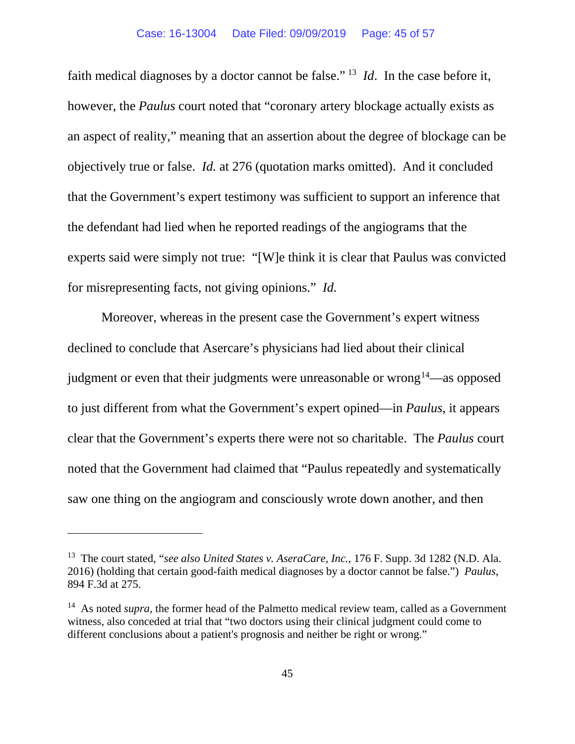faith medical diagnoses by a doctor cannot be false." [13](#page-44-0) *Id*. In the case before it, however, the *Paulus* court noted that "coronary artery blockage actually exists as an aspect of reality," meaning that an assertion about the degree of blockage can be objectively true or false. *Id.* at 276 (quotation marks omitted). And it concluded that the Government's expert testimony was sufficient to support an inference that the defendant had lied when he reported readings of the angiograms that the experts said were simply not true: "[W]e think it is clear that Paulus was convicted for misrepresenting facts, not giving opinions." *Id.* 

Moreover, whereas in the present case the Government's expert witness declined to conclude that Asercare's physicians had lied about their clinical judgment or even that their judgments were unreasonable or wrong<sup>14</sup>—as opposed to just different from what the Government's expert opined—in *Paulus*, it appears clear that the Government's experts there were not so charitable. The *Paulus* court noted that the Government had claimed that "Paulus repeatedly and systematically saw one thing on the angiogram and consciously wrote down another, and then

<span id="page-44-0"></span><sup>13</sup> The court stated, "*see also United States v. AseraCare, Inc.*, 176 F. Supp. 3d 1282 (N.D. Ala. 2016) (holding that certain good-faith medical diagnoses by a doctor cannot be false.") *Paulus*, 894 F.3d at 275.

<span id="page-44-1"></span><sup>&</sup>lt;sup>14</sup> As noted *supra*, the former head of the Palmetto medical review team, called as a Government witness, also conceded at trial that "two doctors using their clinical judgment could come to different conclusions about a patient's prognosis and neither be right or wrong."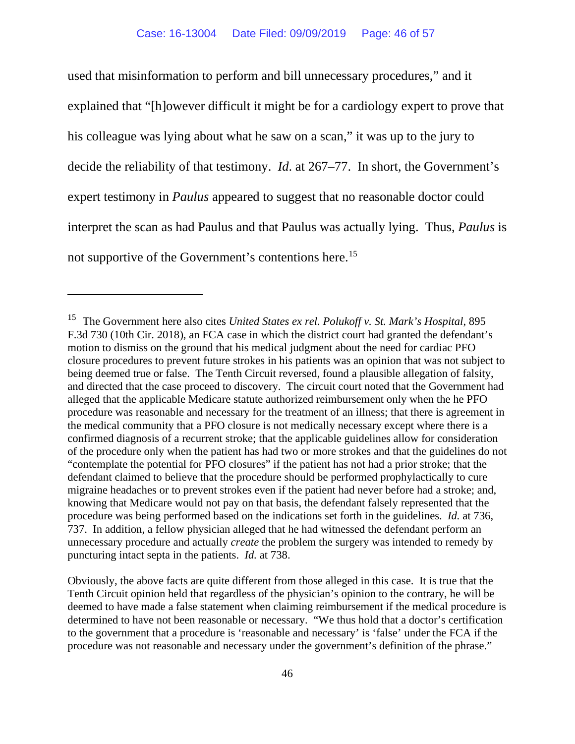used that misinformation to perform and bill unnecessary procedures," and it explained that "[h]owever difficult it might be for a cardiology expert to prove that his colleague was lying about what he saw on a scan," it was up to the jury to decide the reliability of that testimony. *Id*. at 267–77. In short, the Government's expert testimony in *Paulus* appeared to suggest that no reasonable doctor could interpret the scan as had Paulus and that Paulus was actually lying. Thus, *Paulus* is not supportive of the Government's contentions here.[15](#page-45-0)

<span id="page-45-0"></span><sup>15</sup> The Government here also cites *United States ex rel. Polukoff v. St. Mark's Hospital*, 895 F.3d 730 (10th Cir. 2018), an FCA case in which the district court had granted the defendant's motion to dismiss on the ground that his medical judgment about the need for cardiac PFO closure procedures to prevent future strokes in his patients was an opinion that was not subject to being deemed true or false. The Tenth Circuit reversed, found a plausible allegation of falsity, and directed that the case proceed to discovery. The circuit court noted that the Government had alleged that the applicable Medicare statute authorized reimbursement only when the he PFO procedure was reasonable and necessary for the treatment of an illness; that there is agreement in the medical community that a PFO closure is not medically necessary except where there is a confirmed diagnosis of a recurrent stroke; that the applicable guidelines allow for consideration of the procedure only when the patient has had two or more strokes and that the guidelines do not "contemplate the potential for PFO closures" if the patient has not had a prior stroke; that the defendant claimed to believe that the procedure should be performed prophylactically to cure migraine headaches or to prevent strokes even if the patient had never before had a stroke; and, knowing that Medicare would not pay on that basis, the defendant falsely represented that the procedure was being performed based on the indications set forth in the guidelines. *Id.* at 736, 737. In addition, a fellow physician alleged that he had witnessed the defendant perform an unnecessary procedure and actually *create* the problem the surgery was intended to remedy by puncturing intact septa in the patients. *Id.* at 738.

Obviously, the above facts are quite different from those alleged in this case. It is true that the Tenth Circuit opinion held that regardless of the physician's opinion to the contrary, he will be deemed to have made a false statement when claiming reimbursement if the medical procedure is determined to have not been reasonable or necessary. "We thus hold that a doctor's certification to the government that a procedure is 'reasonable and necessary' is 'false' under the FCA if the procedure was not reasonable and necessary under the government's definition of the phrase."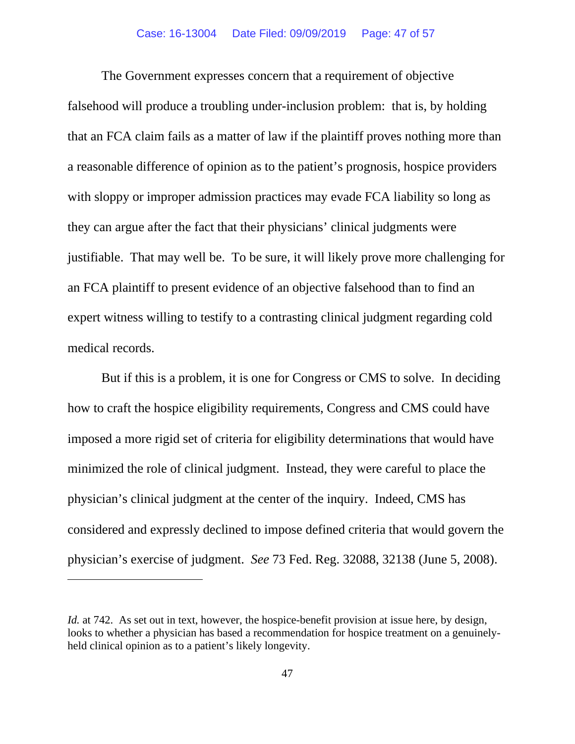The Government expresses concern that a requirement of objective falsehood will produce a troubling under-inclusion problem: that is, by holding that an FCA claim fails as a matter of law if the plaintiff proves nothing more than a reasonable difference of opinion as to the patient's prognosis, hospice providers with sloppy or improper admission practices may evade FCA liability so long as they can argue after the fact that their physicians' clinical judgments were justifiable. That may well be. To be sure, it will likely prove more challenging for an FCA plaintiff to present evidence of an objective falsehood than to find an expert witness willing to testify to a contrasting clinical judgment regarding cold medical records.

But if this is a problem, it is one for Congress or CMS to solve. In deciding how to craft the hospice eligibility requirements, Congress and CMS could have imposed a more rigid set of criteria for eligibility determinations that would have minimized the role of clinical judgment. Instead, they were careful to place the physician's clinical judgment at the center of the inquiry. Indeed, CMS has considered and expressly declined to impose defined criteria that would govern the physician's exercise of judgment. *See* 73 Fed. Reg. 32088, 32138 (June 5, 2008).

*Id.* at 742. As set out in text, however, the hospice-benefit provision at issue here, by design, looks to whether a physician has based a recommendation for hospice treatment on a genuinelyheld clinical opinion as to a patient's likely longevity.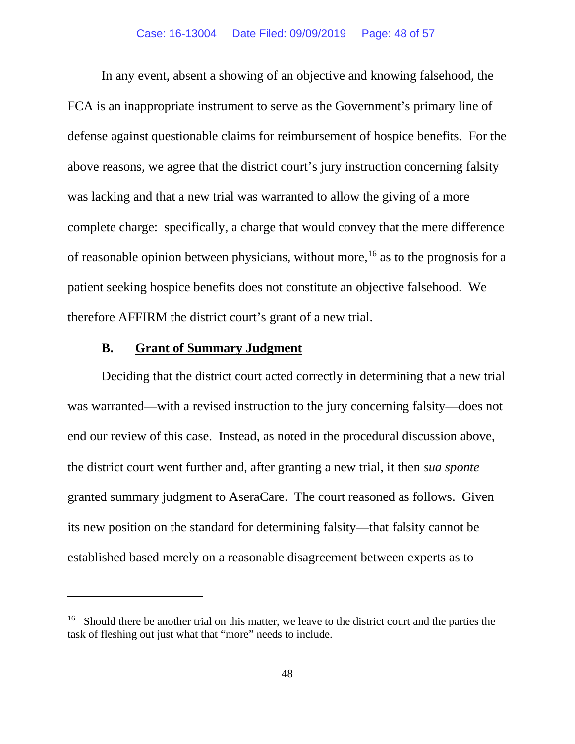In any event, absent a showing of an objective and knowing falsehood, the FCA is an inappropriate instrument to serve as the Government's primary line of defense against questionable claims for reimbursement of hospice benefits. For the above reasons, we agree that the district court's jury instruction concerning falsity was lacking and that a new trial was warranted to allow the giving of a more complete charge: specifically, a charge that would convey that the mere difference of reasonable opinion between physicians, without more,<sup>[16](#page-47-0)</sup> as to the prognosis for a patient seeking hospice benefits does not constitute an objective falsehood. We therefore AFFIRM the district court's grant of a new trial.

# **B. Grant of Summary Judgment**

Deciding that the district court acted correctly in determining that a new trial was warranted—with a revised instruction to the jury concerning falsity—does not end our review of this case. Instead, as noted in the procedural discussion above, the district court went further and, after granting a new trial, it then *sua sponte* granted summary judgment to AseraCare. The court reasoned as follows. Given its new position on the standard for determining falsity—that falsity cannot be established based merely on a reasonable disagreement between experts as to

<span id="page-47-0"></span><sup>&</sup>lt;sup>16</sup> Should there be another trial on this matter, we leave to the district court and the parties the task of fleshing out just what that "more" needs to include.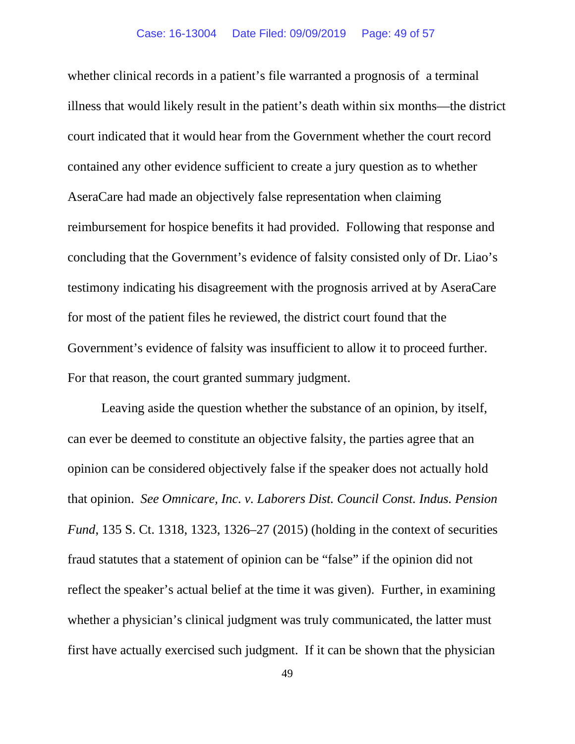whether clinical records in a patient's file warranted a prognosis of a terminal illness that would likely result in the patient's death within six months—the district court indicated that it would hear from the Government whether the court record contained any other evidence sufficient to create a jury question as to whether AseraCare had made an objectively false representation when claiming reimbursement for hospice benefits it had provided. Following that response and concluding that the Government's evidence of falsity consisted only of Dr. Liao's testimony indicating his disagreement with the prognosis arrived at by AseraCare for most of the patient files he reviewed, the district court found that the Government's evidence of falsity was insufficient to allow it to proceed further. For that reason, the court granted summary judgment.

Leaving aside the question whether the substance of an opinion, by itself, can ever be deemed to constitute an objective falsity, the parties agree that an opinion can be considered objectively false if the speaker does not actually hold that opinion. *See Omnicare, Inc. v. Laborers Dist. Council Const. Indus. Pension Fund*, 135 S. Ct. 1318, 1323, 1326–27 (2015) (holding in the context of securities fraud statutes that a statement of opinion can be "false" if the opinion did not reflect the speaker's actual belief at the time it was given). Further, in examining whether a physician's clinical judgment was truly communicated, the latter must first have actually exercised such judgment. If it can be shown that the physician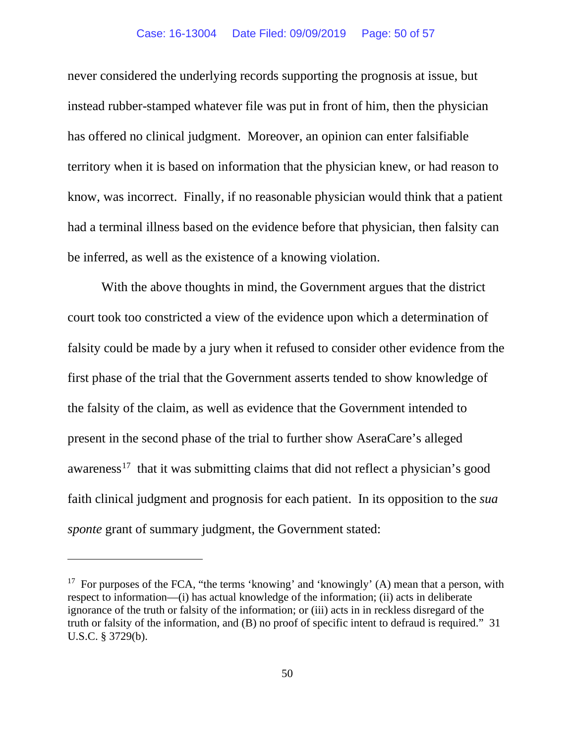never considered the underlying records supporting the prognosis at issue, but instead rubber-stamped whatever file was put in front of him, then the physician has offered no clinical judgment. Moreover, an opinion can enter falsifiable territory when it is based on information that the physician knew, or had reason to know, was incorrect. Finally, if no reasonable physician would think that a patient had a terminal illness based on the evidence before that physician, then falsity can be inferred, as well as the existence of a knowing violation.

With the above thoughts in mind, the Government argues that the district court took too constricted a view of the evidence upon which a determination of falsity could be made by a jury when it refused to consider other evidence from the first phase of the trial that the Government asserts tended to show knowledge of the falsity of the claim, as well as evidence that the Government intended to present in the second phase of the trial to further show AseraCare's alleged awareness<sup>[17](#page-49-0)</sup> that it was submitting claims that did not reflect a physician's good faith clinical judgment and prognosis for each patient. In its opposition to the *sua sponte* grant of summary judgment, the Government stated:

<span id="page-49-0"></span><sup>&</sup>lt;sup>17</sup> For purposes of the FCA, "the terms 'knowing' and 'knowingly' (A) mean that a person, with respect to information—(i) has actual knowledge of the information; (ii) acts in deliberate ignorance of the truth or falsity of the information; or (iii) acts in in reckless disregard of the truth or falsity of the information, and (B) no proof of specific intent to defraud is required." 31 U.S.C. § 3729(b).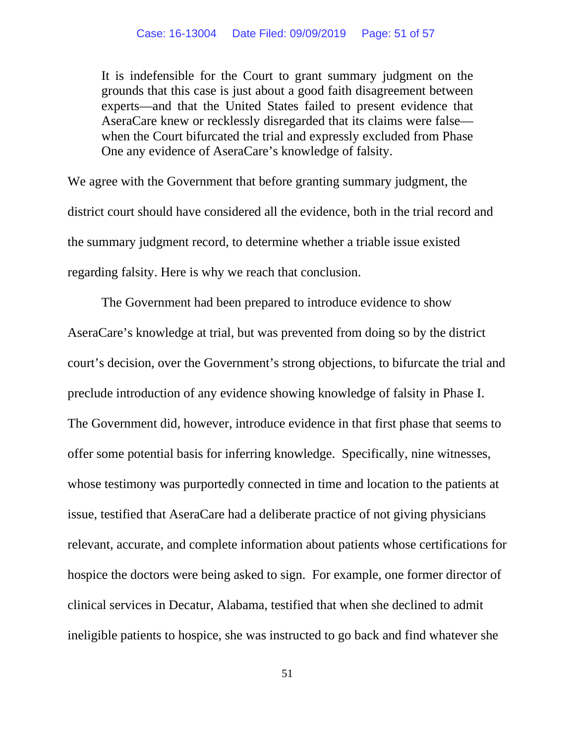It is indefensible for the Court to grant summary judgment on the grounds that this case is just about a good faith disagreement between experts—and that the United States failed to present evidence that AseraCare knew or recklessly disregarded that its claims were false when the Court bifurcated the trial and expressly excluded from Phase One any evidence of AseraCare's knowledge of falsity.

We agree with the Government that before granting summary judgment, the district court should have considered all the evidence, both in the trial record and the summary judgment record, to determine whether a triable issue existed regarding falsity. Here is why we reach that conclusion.

The Government had been prepared to introduce evidence to show AseraCare's knowledge at trial, but was prevented from doing so by the district court's decision, over the Government's strong objections, to bifurcate the trial and preclude introduction of any evidence showing knowledge of falsity in Phase I. The Government did, however, introduce evidence in that first phase that seems to offer some potential basis for inferring knowledge. Specifically, nine witnesses, whose testimony was purportedly connected in time and location to the patients at issue, testified that AseraCare had a deliberate practice of not giving physicians relevant, accurate, and complete information about patients whose certifications for hospice the doctors were being asked to sign. For example, one former director of clinical services in Decatur, Alabama, testified that when she declined to admit ineligible patients to hospice, she was instructed to go back and find whatever she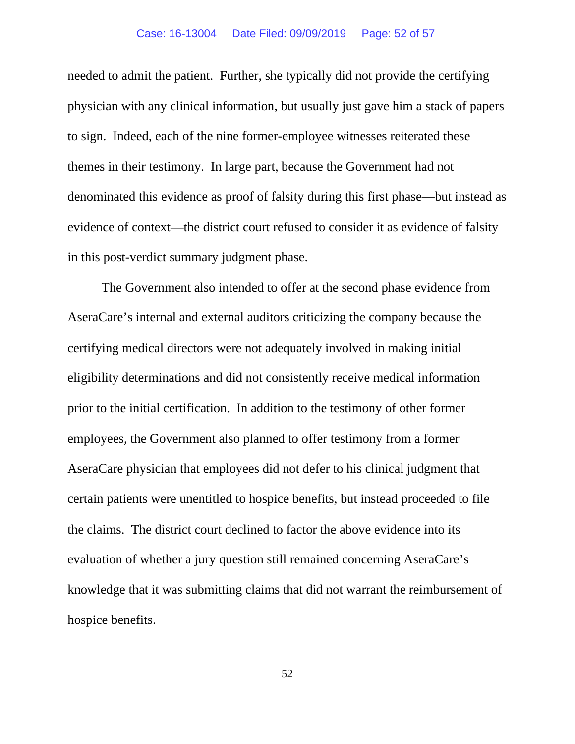needed to admit the patient. Further, she typically did not provide the certifying physician with any clinical information, but usually just gave him a stack of papers to sign. Indeed, each of the nine former-employee witnesses reiterated these themes in their testimony. In large part, because the Government had not denominated this evidence as proof of falsity during this first phase—but instead as evidence of context—the district court refused to consider it as evidence of falsity in this post-verdict summary judgment phase.

The Government also intended to offer at the second phase evidence from AseraCare's internal and external auditors criticizing the company because the certifying medical directors were not adequately involved in making initial eligibility determinations and did not consistently receive medical information prior to the initial certification. In addition to the testimony of other former employees, the Government also planned to offer testimony from a former AseraCare physician that employees did not defer to his clinical judgment that certain patients were unentitled to hospice benefits, but instead proceeded to file the claims. The district court declined to factor the above evidence into its evaluation of whether a jury question still remained concerning AseraCare's knowledge that it was submitting claims that did not warrant the reimbursement of hospice benefits.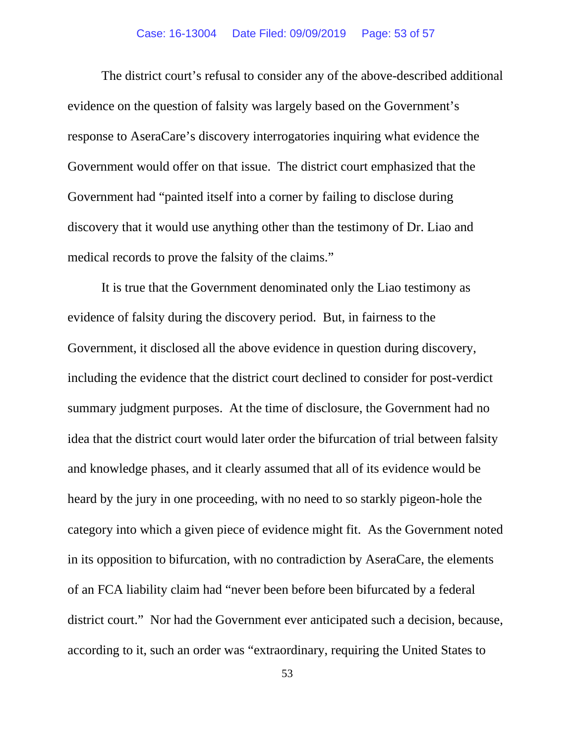The district court's refusal to consider any of the above-described additional evidence on the question of falsity was largely based on the Government's response to AseraCare's discovery interrogatories inquiring what evidence the Government would offer on that issue. The district court emphasized that the Government had "painted itself into a corner by failing to disclose during discovery that it would use anything other than the testimony of Dr. Liao and medical records to prove the falsity of the claims."

It is true that the Government denominated only the Liao testimony as evidence of falsity during the discovery period. But, in fairness to the Government, it disclosed all the above evidence in question during discovery, including the evidence that the district court declined to consider for post-verdict summary judgment purposes. At the time of disclosure, the Government had no idea that the district court would later order the bifurcation of trial between falsity and knowledge phases, and it clearly assumed that all of its evidence would be heard by the jury in one proceeding, with no need to so starkly pigeon-hole the category into which a given piece of evidence might fit. As the Government noted in its opposition to bifurcation, with no contradiction by AseraCare, the elements of an FCA liability claim had "never been before been bifurcated by a federal district court." Nor had the Government ever anticipated such a decision, because, according to it, such an order was "extraordinary, requiring the United States to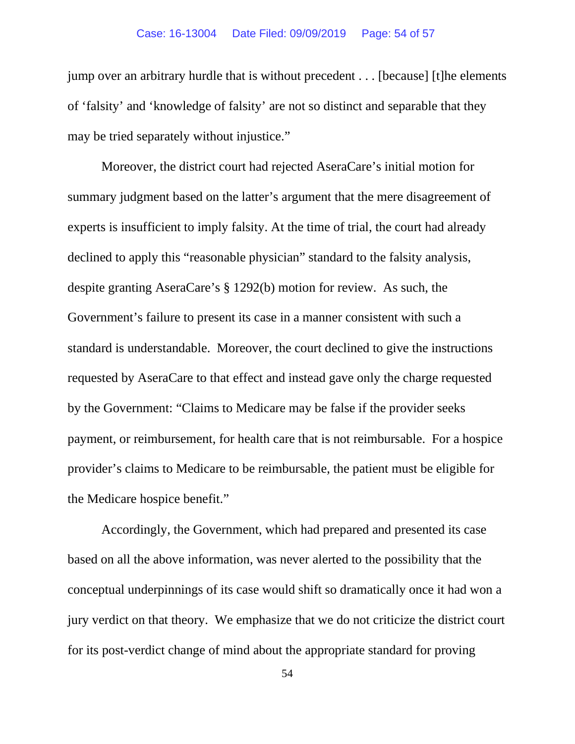#### Case: 16-13004 Date Filed: 09/09/2019 Page: 54 of 57

jump over an arbitrary hurdle that is without precedent . . . [because] [t]he elements of 'falsity' and 'knowledge of falsity' are not so distinct and separable that they may be tried separately without injustice."

Moreover, the district court had rejected AseraCare's initial motion for summary judgment based on the latter's argument that the mere disagreement of experts is insufficient to imply falsity. At the time of trial, the court had already declined to apply this "reasonable physician" standard to the falsity analysis, despite granting AseraCare's § 1292(b) motion for review. As such, the Government's failure to present its case in a manner consistent with such a standard is understandable. Moreover, the court declined to give the instructions requested by AseraCare to that effect and instead gave only the charge requested by the Government: "Claims to Medicare may be false if the provider seeks payment, or reimbursement, for health care that is not reimbursable. For a hospice provider's claims to Medicare to be reimbursable, the patient must be eligible for the Medicare hospice benefit."

Accordingly, the Government, which had prepared and presented its case based on all the above information, was never alerted to the possibility that the conceptual underpinnings of its case would shift so dramatically once it had won a jury verdict on that theory. We emphasize that we do not criticize the district court for its post-verdict change of mind about the appropriate standard for proving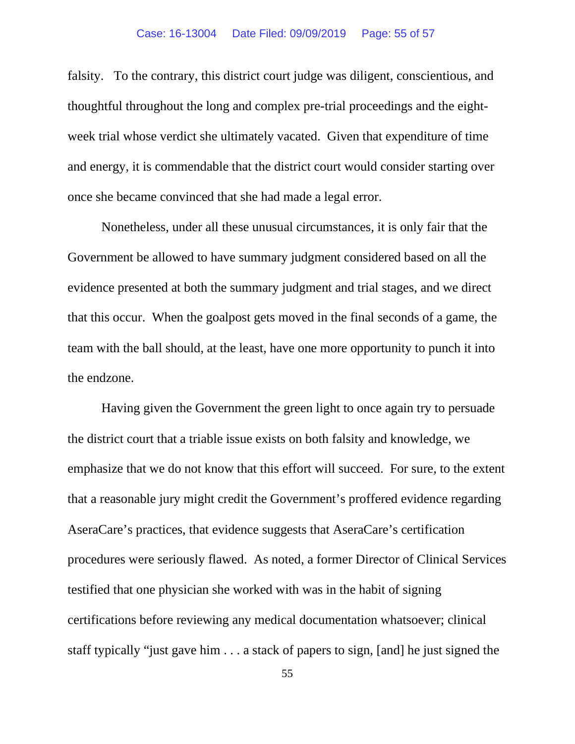falsity. To the contrary, this district court judge was diligent, conscientious, and thoughtful throughout the long and complex pre-trial proceedings and the eightweek trial whose verdict she ultimately vacated. Given that expenditure of time and energy, it is commendable that the district court would consider starting over once she became convinced that she had made a legal error.

Nonetheless, under all these unusual circumstances, it is only fair that the Government be allowed to have summary judgment considered based on all the evidence presented at both the summary judgment and trial stages, and we direct that this occur. When the goalpost gets moved in the final seconds of a game, the team with the ball should, at the least, have one more opportunity to punch it into the endzone.

Having given the Government the green light to once again try to persuade the district court that a triable issue exists on both falsity and knowledge, we emphasize that we do not know that this effort will succeed. For sure, to the extent that a reasonable jury might credit the Government's proffered evidence regarding AseraCare's practices, that evidence suggests that AseraCare's certification procedures were seriously flawed. As noted, a former Director of Clinical Services testified that one physician she worked with was in the habit of signing certifications before reviewing any medical documentation whatsoever; clinical staff typically "just gave him . . . a stack of papers to sign, [and] he just signed the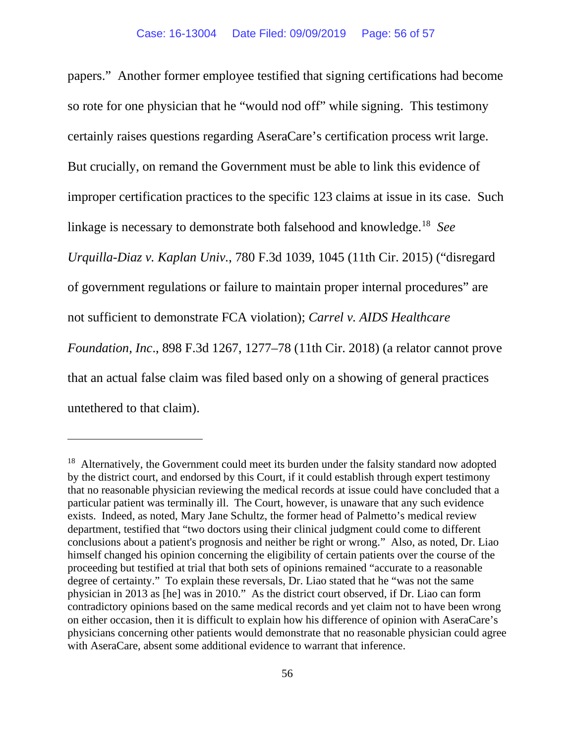papers." Another former employee testified that signing certifications had become so rote for one physician that he "would nod off" while signing. This testimony certainly raises questions regarding AseraCare's certification process writ large. But crucially, on remand the Government must be able to link this evidence of improper certification practices to the specific 123 claims at issue in its case. Such linkage is necessary to demonstrate both falsehood and knowledge.[18](#page-55-0) *See Urquilla-Diaz v. Kaplan Univ.*, 780 F.3d 1039, 1045 (11th Cir. 2015) ("disregard of government regulations or failure to maintain proper internal procedures" are not sufficient to demonstrate FCA violation); *Carrel v. AIDS Healthcare Foundation, Inc*., 898 F.3d 1267, 1277–78 (11th Cir. 2018) (a relator cannot prove that an actual false claim was filed based only on a showing of general practices untethered to that claim).

<span id="page-55-0"></span><sup>&</sup>lt;sup>18</sup> Alternatively, the Government could meet its burden under the falsity standard now adopted by the district court, and endorsed by this Court, if it could establish through expert testimony that no reasonable physician reviewing the medical records at issue could have concluded that a particular patient was terminally ill. The Court, however, is unaware that any such evidence exists. Indeed, as noted, Mary Jane Schultz, the former head of Palmetto's medical review department, testified that "two doctors using their clinical judgment could come to different conclusions about a patient's prognosis and neither be right or wrong." Also, as noted, Dr. Liao himself changed his opinion concerning the eligibility of certain patients over the course of the proceeding but testified at trial that both sets of opinions remained "accurate to a reasonable degree of certainty." To explain these reversals, Dr. Liao stated that he "was not the same physician in 2013 as [he] was in 2010." As the district court observed, if Dr. Liao can form contradictory opinions based on the same medical records and yet claim not to have been wrong on either occasion, then it is difficult to explain how his difference of opinion with AseraCare's physicians concerning other patients would demonstrate that no reasonable physician could agree with AseraCare, absent some additional evidence to warrant that inference.